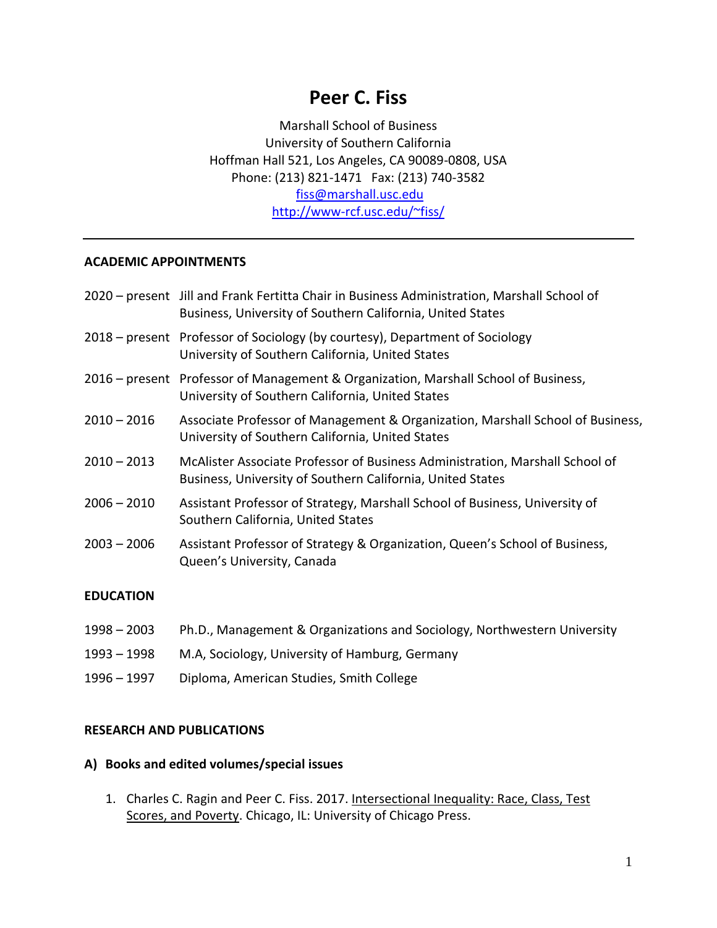# **Peer C. Fiss**

Marshall School of Business University of Southern California Hoffman Hall 521, Los Angeles, CA 90089-0808, USA Phone: (213) 821-1471 Fax: (213) 740-3582 [fiss@marshall.usc.edu](mailto:fiss@marshall.usc.edu) <http://www-rcf.usc.edu/~fiss/>

## **ACADEMIC APPOINTMENTS**

|                  | 2020 – present Jill and Frank Fertitta Chair in Business Administration, Marshall School of<br>Business, University of Southern California, United States |
|------------------|-----------------------------------------------------------------------------------------------------------------------------------------------------------|
|                  | 2018 – present Professor of Sociology (by courtesy), Department of Sociology<br>University of Southern California, United States                          |
|                  | 2016 - present Professor of Management & Organization, Marshall School of Business,<br>University of Southern California, United States                   |
| $2010 - 2016$    | Associate Professor of Management & Organization, Marshall School of Business,<br>University of Southern California, United States                        |
| $2010 - 2013$    | McAlister Associate Professor of Business Administration, Marshall School of<br>Business, University of Southern California, United States                |
| $2006 - 2010$    | Assistant Professor of Strategy, Marshall School of Business, University of<br>Southern California, United States                                         |
| $2003 - 2006$    | Assistant Professor of Strategy & Organization, Queen's School of Business,<br>Queen's University, Canada                                                 |
| <b>EDUCATION</b> |                                                                                                                                                           |

- 1998 2003 Ph.D., Management & Organizations and Sociology, Northwestern University
- 1993 1998 M.A, Sociology, University of Hamburg, Germany
- 1996 1997 Diploma, American Studies, Smith College

## **RESEARCH AND PUBLICATIONS**

#### **A) Books and edited volumes/special issues**

1. Charles C. Ragin and Peer C. Fiss. 2017. Intersectional Inequality: Race, Class, Test Scores, and Poverty. Chicago, IL: University of Chicago Press.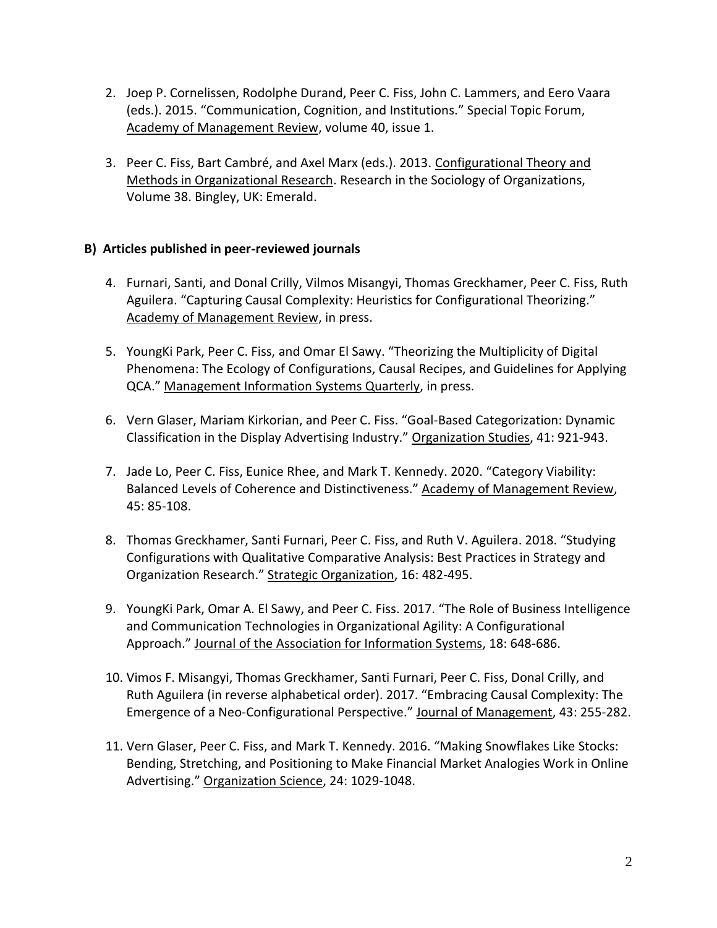- 2. Joep P. Cornelissen, Rodolphe Durand, Peer C. Fiss, John C. Lammers, and Eero Vaara (eds.). 2015. "Communication, Cognition, and Institutions." Special Topic Forum, Academy of Management Review, volume 40, issue 1.
- 3. Peer C. Fiss, Bart Cambré, and Axel Marx (eds.). 2013. Configurational Theory and Methods in Organizational Research. Research in the Sociology of Organizations, Volume 38. Bingley, UK: Emerald.

# **B) Articles published in peer-reviewed journals**

- 4. Furnari, Santi, and Donal Crilly, Vilmos Misangyi, Thomas Greckhamer, Peer C. Fiss, Ruth Aguilera. "Capturing Causal Complexity: Heuristics for Configurational Theorizing." Academy of Management Review, in press.
- 5. YoungKi Park, Peer C. Fiss, and Omar El Sawy. "Theorizing the Multiplicity of Digital Phenomena: The Ecology of Configurations, Causal Recipes, and Guidelines for Applying QCA." Management Information Systems Quarterly, in press.
- 6. Vern Glaser, Mariam Kirkorian, and Peer C. Fiss. "Goal-Based Categorization: Dynamic Classification in the Display Advertising Industry." Organization Studies, 41: 921-943.
- 7. Jade Lo, Peer C. Fiss, Eunice Rhee, and Mark T. Kennedy. 2020. "Category Viability: Balanced Levels of Coherence and Distinctiveness." Academy of Management Review, 45: 85-108.
- 8. Thomas Greckhamer, Santi Furnari, Peer C. Fiss, and Ruth V. Aguilera. 2018. "Studying Configurations with Qualitative Comparative Analysis: Best Practices in Strategy and Organization Research." Strategic Organization, 16: 482-495.
- 9. YoungKi Park, Omar A. El Sawy, and Peer C. Fiss. 2017. "The Role of Business Intelligence and Communication Technologies in Organizational Agility: A Configurational Approach." Journal of the Association for Information Systems, 18: 648-686.
- 10. Vimos F. Misangyi, Thomas Greckhamer, Santi Furnari, Peer C. Fiss, Donal Crilly, and Ruth Aguilera (in reverse alphabetical order). 2017. "Embracing Causal Complexity: The Emergence of a Neo-Configurational Perspective." Journal of Management, 43: 255-282.
- 11. Vern Glaser, Peer C. Fiss, and Mark T. Kennedy. 2016. "Making Snowflakes Like Stocks: Bending, Stretching, and Positioning to Make Financial Market Analogies Work in Online Advertising." Organization Science, 24: 1029-1048.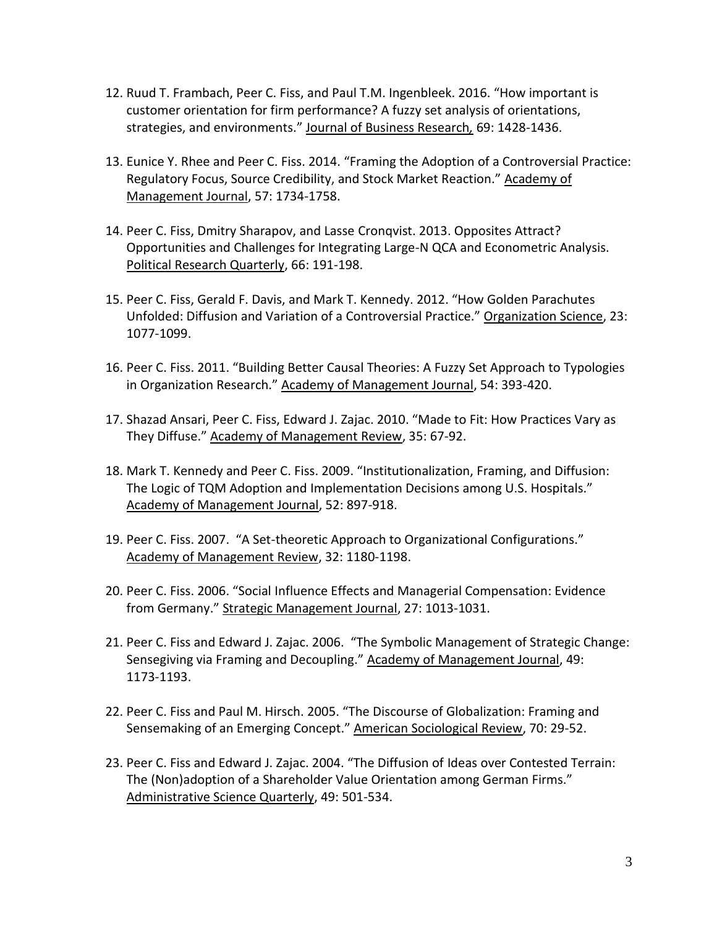- 12. Ruud T. Frambach, Peer C. Fiss, and Paul T.M. Ingenbleek. 2016. "How important is customer orientation for firm performance? A fuzzy set analysis of orientations, strategies, and environments." Journal of Business Research*,* 69: 1428-1436.
- 13. Eunice Y. Rhee and Peer C. Fiss. 2014. "Framing the Adoption of a Controversial Practice: Regulatory Focus, Source Credibility, and Stock Market Reaction." Academy of Management Journal, 57: 1734-1758.
- 14. Peer C. Fiss, Dmitry Sharapov, and Lasse Cronqvist. 2013. Opposites Attract? Opportunities and Challenges for Integrating Large-N QCA and Econometric Analysis. Political Research Quarterly, 66: 191-198.
- 15. Peer C. Fiss, Gerald F. Davis, and Mark T. Kennedy. 2012. "How Golden Parachutes Unfolded: Diffusion and Variation of a Controversial Practice." Organization Science, 23: 1077-1099.
- 16. Peer C. Fiss. 2011. "Building Better Causal Theories: A Fuzzy Set Approach to Typologies in Organization Research." Academy of Management Journal, 54: 393-420.
- 17. Shazad Ansari, Peer C. Fiss, Edward J. Zajac. 2010. "Made to Fit: How Practices Vary as They Diffuse." Academy of Management Review, 35: 67-92.
- 18. Mark T. Kennedy and Peer C. Fiss. 2009. "Institutionalization, Framing, and Diffusion: The Logic of TQM Adoption and Implementation Decisions among U.S. Hospitals." Academy of Management Journal, 52: 897-918.
- 19. Peer C. Fiss. 2007. "A Set-theoretic Approach to Organizational Configurations." Academy of Management Review, 32: 1180-1198.
- 20. Peer C. Fiss. 2006. "Social Influence Effects and Managerial Compensation: Evidence from Germany." Strategic Management Journal, 27: 1013-1031.
- 21. Peer C. Fiss and Edward J. Zajac. 2006. "The Symbolic Management of Strategic Change: Sensegiving via Framing and Decoupling." Academy of Management Journal, 49: 1173-1193.
- 22. Peer C. Fiss and Paul M. Hirsch. 2005. "The Discourse of Globalization: Framing and Sensemaking of an Emerging Concept." American Sociological Review, 70: 29-52.
- 23. Peer C. Fiss and Edward J. Zajac. 2004. "The Diffusion of Ideas over Contested Terrain: The (Non)adoption of a Shareholder Value Orientation among German Firms." Administrative Science Quarterly, 49: 501-534.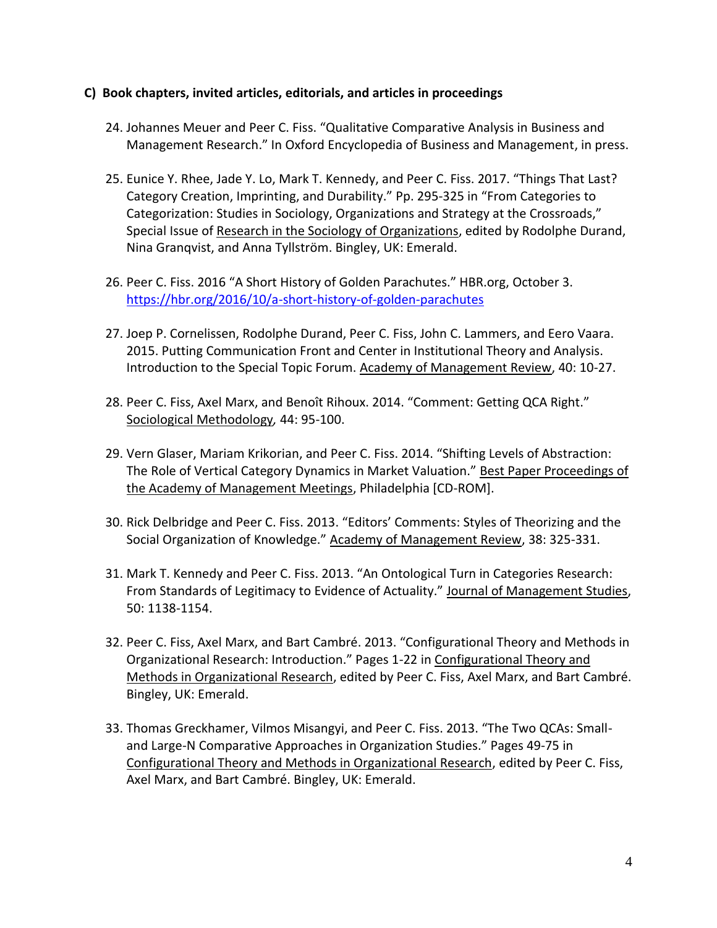## **C) Book chapters, invited articles, editorials, and articles in proceedings**

- 24. Johannes Meuer and Peer C. Fiss. "Qualitative Comparative Analysis in Business and Management Research." In Oxford Encyclopedia of Business and Management, in press.
- 25. Eunice Y. Rhee, Jade Y. Lo, Mark T. Kennedy, and Peer C. Fiss. 2017. "Things That Last? Category Creation, Imprinting, and Durability." Pp. 295-325 in "From Categories to Categorization: Studies in Sociology, Organizations and Strategy at the Crossroads," Special Issue of Research in the Sociology of Organizations, edited by Rodolphe Durand, Nina Granqvist, and Anna Tyllström. Bingley, UK: Emerald.
- 26. Peer C. Fiss. 2016 "A Short History of Golden Parachutes." HBR.org, October 3. <https://hbr.org/2016/10/a-short-history-of-golden-parachutes>
- 27. Joep P. Cornelissen, Rodolphe Durand, Peer C. Fiss, John C. Lammers, and Eero Vaara. 2015. Putting Communication Front and Center in Institutional Theory and Analysis. Introduction to the Special Topic Forum. Academy of Management Review, 40: 10-27.
- 28. Peer C. Fiss, Axel Marx, and Benoît Rihoux. 2014. "Comment: Getting QCA Right." Sociological Methodology*,* 44: 95-100.
- 29. Vern Glaser, Mariam Krikorian, and Peer C. Fiss. 2014. "Shifting Levels of Abstraction: The Role of Vertical Category Dynamics in Market Valuation." Best Paper Proceedings of the Academy of Management Meetings, Philadelphia [CD-ROM].
- 30. Rick Delbridge and Peer C. Fiss. 2013. "Editors' Comments: Styles of Theorizing and the Social Organization of Knowledge." Academy of Management Review, 38: 325-331.
- 31. Mark T. Kennedy and Peer C. Fiss. 2013. "An Ontological Turn in Categories Research: From Standards of Legitimacy to Evidence of Actuality." Journal of Management Studies, 50: 1138-1154.
- 32. Peer C. Fiss, Axel Marx, and Bart Cambré. 2013. "Configurational Theory and Methods in Organizational Research: Introduction." Pages 1-22 in Configurational Theory and Methods in Organizational Research, edited by Peer C. Fiss, Axel Marx, and Bart Cambré. Bingley, UK: Emerald.
- 33. Thomas Greckhamer, Vilmos Misangyi, and Peer C. Fiss. 2013. "The Two QCAs: Smalland Large-N Comparative Approaches in Organization Studies." Pages 49-75 in Configurational Theory and Methods in Organizational Research, edited by Peer C. Fiss, Axel Marx, and Bart Cambré. Bingley, UK: Emerald.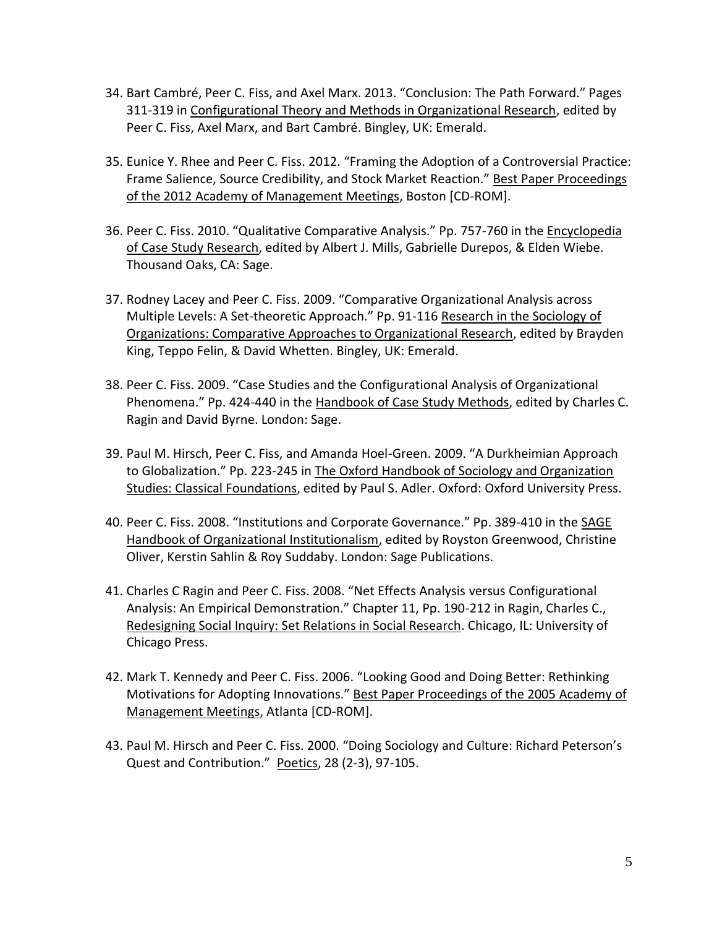- 34. Bart Cambré, Peer C. Fiss, and Axel Marx. 2013. "Conclusion: The Path Forward." Pages 311-319 in Configurational Theory and Methods in Organizational Research, edited by Peer C. Fiss, Axel Marx, and Bart Cambré. Bingley, UK: Emerald.
- 35. Eunice Y. Rhee and Peer C. Fiss. 2012. "Framing the Adoption of a Controversial Practice: Frame Salience, Source Credibility, and Stock Market Reaction." Best Paper Proceedings of the 2012 Academy of Management Meetings, Boston [CD-ROM].
- 36. Peer C. Fiss. 2010. "Qualitative Comparative Analysis." Pp. 757-760 in the Encyclopedia of Case Study Research, edited by Albert J. Mills, Gabrielle Durepos, & Elden Wiebe. Thousand Oaks, CA: Sage.
- 37. Rodney Lacey and Peer C. Fiss. 2009. "Comparative Organizational Analysis across Multiple Levels: A Set-theoretic Approach." Pp. 91-116 Research in the Sociology of Organizations: Comparative Approaches to Organizational Research, edited by Brayden King, Teppo Felin, & David Whetten. Bingley, UK: Emerald.
- 38. Peer C. Fiss. 2009. "Case Studies and the Configurational Analysis of Organizational Phenomena." Pp. 424-440 in the Handbook of Case Study Methods, edited by Charles C. Ragin and David Byrne. London: Sage.
- 39. Paul M. Hirsch, Peer C. Fiss, and Amanda Hoel-Green. 2009. "A Durkheimian Approach to Globalization." Pp. 223-245 in The Oxford Handbook of Sociology and Organization Studies: Classical Foundations, edited by Paul S. Adler. Oxford: Oxford University Press.
- 40. Peer C. Fiss. 2008. "Institutions and Corporate Governance." Pp. 389-410 in the SAGE Handbook of Organizational Institutionalism, edited by Royston Greenwood, Christine Oliver, Kerstin Sahlin & Roy Suddaby. London: Sage Publications.
- 41. Charles C Ragin and Peer C. Fiss. 2008. "Net Effects Analysis versus Configurational Analysis: An Empirical Demonstration." Chapter 11, Pp. 190-212 in Ragin, Charles C., Redesigning Social Inquiry: Set Relations in Social Research. Chicago, IL: University of Chicago Press.
- 42. Mark T. Kennedy and Peer C. Fiss. 2006. "Looking Good and Doing Better: Rethinking Motivations for Adopting Innovations." Best Paper Proceedings of the 2005 Academy of Management Meetings, Atlanta [CD-ROM].
- 43. Paul M. Hirsch and Peer C. Fiss. 2000. "Doing Sociology and Culture: Richard Peterson's Quest and Contribution." Poetics, 28 (2-3), 97-105.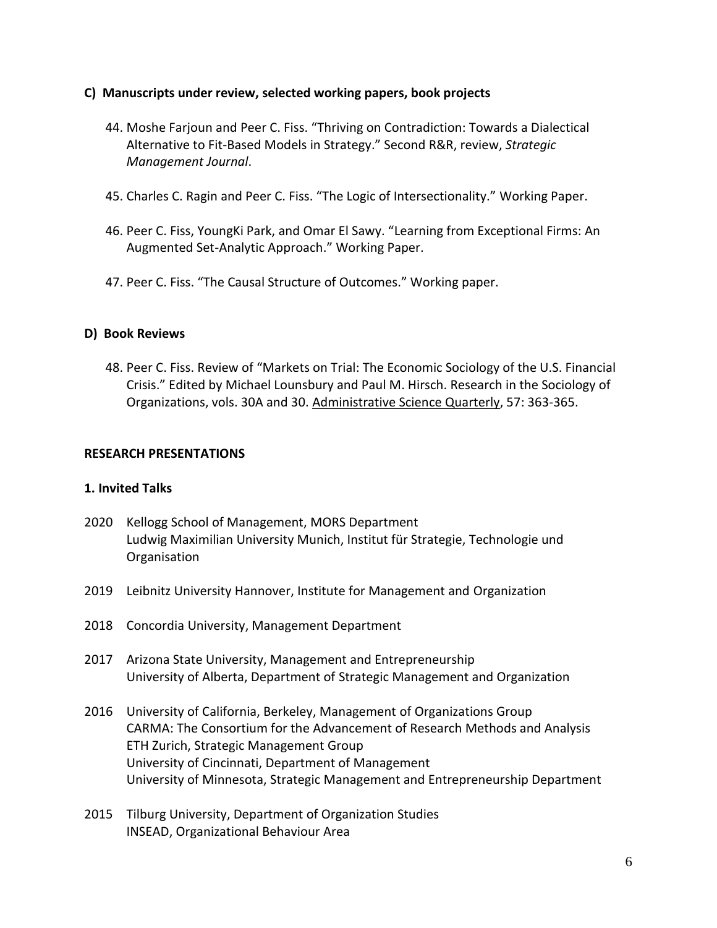## **C) Manuscripts under review, selected working papers, book projects**

- 44. Moshe Farjoun and Peer C. Fiss. "Thriving on Contradiction: Towards a Dialectical Alternative to Fit-Based Models in Strategy." Second R&R, review, *Strategic Management Journal*.
- 45. Charles C. Ragin and Peer C. Fiss. "The Logic of Intersectionality." Working Paper.
- 46. Peer C. Fiss, YoungKi Park, and Omar El Sawy. "Learning from Exceptional Firms: An Augmented Set-Analytic Approach." Working Paper.
- 47. Peer C. Fiss. "The Causal Structure of Outcomes." Working paper.

## **D) Book Reviews**

48. Peer C. Fiss. Review of "Markets on Trial: The Economic Sociology of the U.S. Financial Crisis." Edited by Michael Lounsbury and Paul M. Hirsch. Research in the Sociology of Organizations, vols. 30A and 30. Administrative Science Quarterly, 57: 363-365.

## **RESEARCH PRESENTATIONS**

## **1. Invited Talks**

- 2020 Kellogg School of Management, MORS Department Ludwig Maximilian University Munich, Institut für Strategie, Technologie und **Organisation**
- 2019 Leibnitz University Hannover, Institute for Management and Organization
- 2018 Concordia University, Management Department
- 2017 Arizona State University, Management and Entrepreneurship University of Alberta, Department of Strategic Management and Organization
- 2016 University of California, Berkeley, Management of Organizations Group CARMA: The Consortium for the Advancement of Research Methods and Analysis ETH Zurich, Strategic Management Group University of Cincinnati, Department of Management University of Minnesota, Strategic Management and Entrepreneurship Department
- 2015 Tilburg University, Department of Organization Studies INSEAD, Organizational Behaviour Area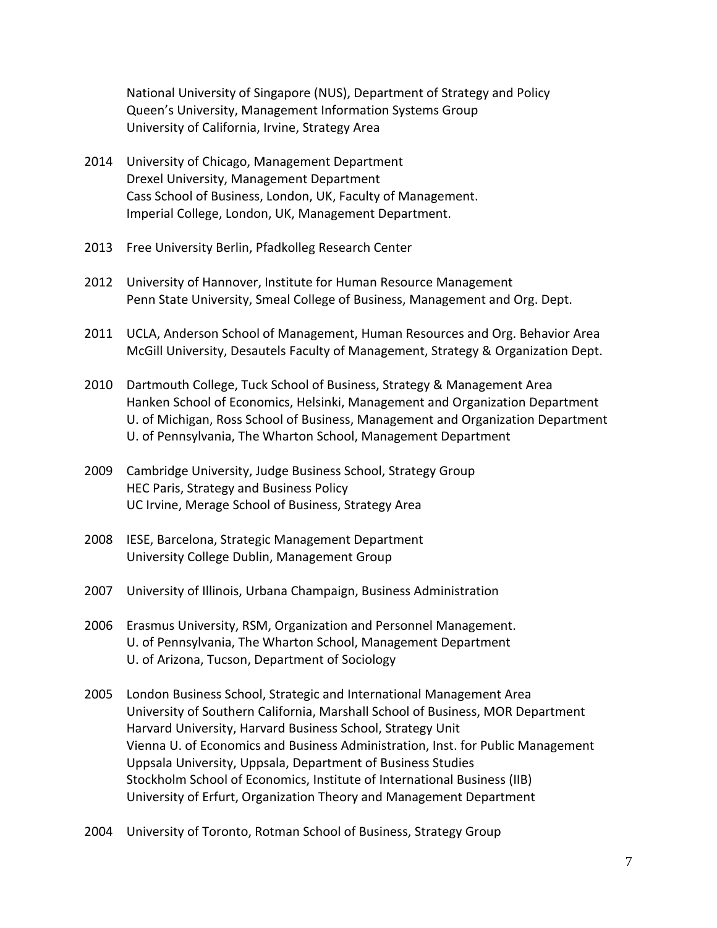National University of Singapore (NUS), Department of Strategy and Policy Queen's University, Management Information Systems Group University of California, Irvine, Strategy Area

- 2014 University of Chicago, Management Department Drexel University, Management Department Cass School of Business, London, UK, Faculty of Management. Imperial College, London, UK, Management Department.
- 2013 Free University Berlin, Pfadkolleg Research Center
- 2012 University of Hannover, Institute for Human Resource Management Penn State University, Smeal College of Business, Management and Org. Dept.
- 2011 UCLA, Anderson School of Management, Human Resources and Org. Behavior Area McGill University, Desautels Faculty of Management, Strategy & Organization Dept.
- 2010 Dartmouth College, Tuck School of Business, Strategy & Management Area Hanken School of Economics, Helsinki, Management and Organization Department U. of Michigan, Ross School of Business, Management and Organization Department U. of Pennsylvania, The Wharton School, Management Department
- 2009 Cambridge University, Judge Business School, Strategy Group HEC Paris, Strategy and Business Policy UC Irvine, Merage School of Business, Strategy Area
- 2008 IESE, Barcelona, Strategic Management Department University College Dublin, Management Group
- 2007 University of Illinois, Urbana Champaign, Business Administration
- 2006 Erasmus University, RSM, Organization and Personnel Management. U. of Pennsylvania, The Wharton School, Management Department U. of Arizona, Tucson, Department of Sociology
- 2005 London Business School, Strategic and International Management Area University of Southern California, Marshall School of Business, MOR Department Harvard University, Harvard Business School, Strategy Unit Vienna U. of Economics and Business Administration, Inst. for Public Management Uppsala University, Uppsala, Department of Business Studies Stockholm School of Economics, Institute of International Business (IIB) University of Erfurt, Organization Theory and Management Department
- 2004 University of Toronto, Rotman School of Business, Strategy Group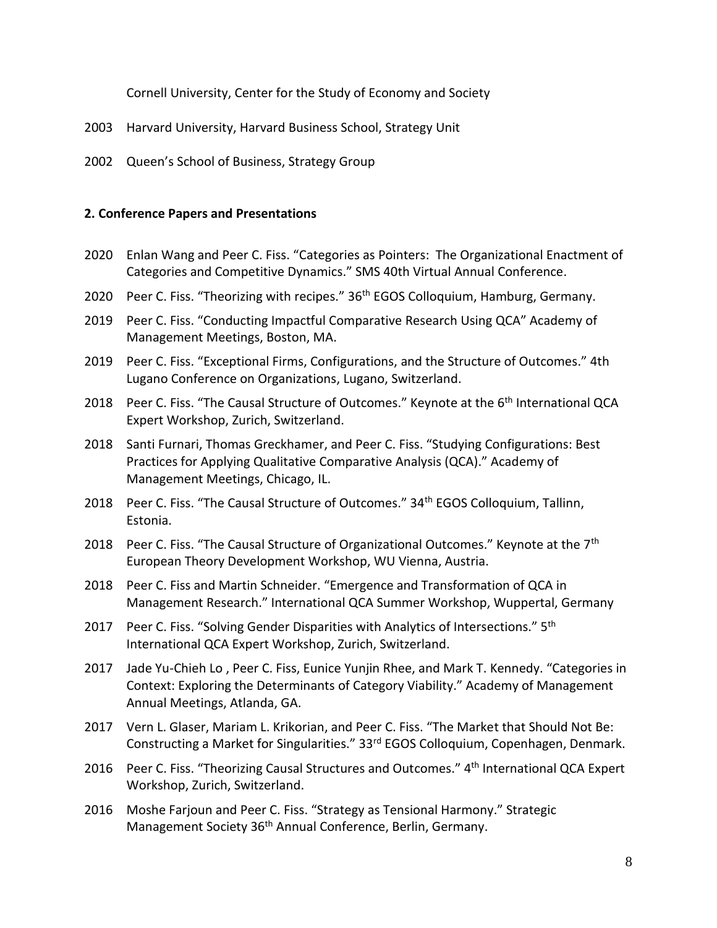Cornell University, Center for the Study of Economy and Society

- 2003 Harvard University, Harvard Business School, Strategy Unit
- 2002 Queen's School of Business, Strategy Group

## **2. Conference Papers and Presentations**

- 2020 Enlan Wang and Peer C. Fiss. "Categories as Pointers: The Organizational Enactment of Categories and Competitive Dynamics." SMS 40th Virtual Annual Conference.
- 2020 Peer C. Fiss. "Theorizing with recipes." 36<sup>th</sup> EGOS Colloquium, Hamburg, Germany.
- 2019 Peer C. Fiss. "Conducting Impactful Comparative Research Using QCA" Academy of Management Meetings, Boston, MA.
- 2019 Peer C. Fiss. "Exceptional Firms, Configurations, and the Structure of Outcomes." 4th Lugano Conference on Organizations, Lugano, Switzerland.
- 2018 Peer C. Fiss. "The Causal Structure of Outcomes." Keynote at the 6<sup>th</sup> International QCA Expert Workshop, Zurich, Switzerland.
- 2018 Santi Furnari, Thomas Greckhamer, and Peer C. Fiss. "Studying Configurations: Best Practices for Applying Qualitative Comparative Analysis (QCA)." Academy of Management Meetings, Chicago, IL.
- 2018 Peer C. Fiss. "The Causal Structure of Outcomes." 34<sup>th</sup> EGOS Colloquium, Tallinn, Estonia.
- 2018 Peer C. Fiss. "The Causal Structure of Organizational Outcomes." Keynote at the 7<sup>th</sup> European Theory Development Workshop, WU Vienna, Austria.
- 2018 Peer C. Fiss and Martin Schneider. "Emergence and Transformation of QCA in Management Research." International QCA Summer Workshop, Wuppertal, Germany
- 2017 Peer C. Fiss. "Solving Gender Disparities with Analytics of Intersections." 5<sup>th</sup> International QCA Expert Workshop, Zurich, Switzerland.
- 2017 Jade Yu-Chieh Lo , Peer C. Fiss, Eunice Yunjin Rhee, and Mark T. Kennedy. "Categories in Context: Exploring the Determinants of Category Viability." Academy of Management Annual Meetings, Atlanda, GA.
- 2017 Vern L. Glaser, Mariam L. Krikorian, and Peer C. Fiss. "The Market that Should Not Be: Constructing a Market for Singularities." 33rd EGOS Colloquium, Copenhagen, Denmark.
- 2016 Peer C. Fiss. "Theorizing Causal Structures and Outcomes." 4<sup>th</sup> International QCA Expert Workshop, Zurich, Switzerland.
- 2016 Moshe Farjoun and Peer C. Fiss. "Strategy as Tensional Harmony." Strategic Management Society 36<sup>th</sup> Annual Conference, Berlin, Germany.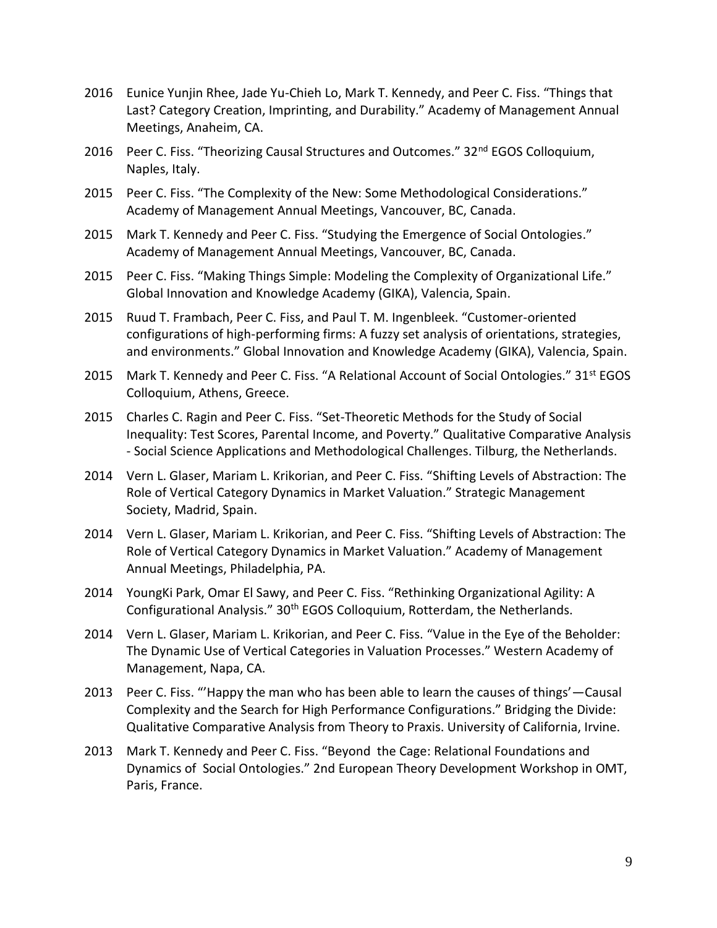- 2016 Eunice Yunjin Rhee, Jade Yu-Chieh Lo, Mark T. Kennedy, and Peer C. Fiss. "Things that Last? Category Creation, Imprinting, and Durability." Academy of Management Annual Meetings, Anaheim, CA.
- 2016 Peer C. Fiss. "Theorizing Causal Structures and Outcomes." 32<sup>nd</sup> EGOS Colloquium, Naples, Italy.
- 2015 Peer C. Fiss. "The Complexity of the New: Some Methodological Considerations." Academy of Management Annual Meetings, Vancouver, BC, Canada.
- 2015 Mark T. Kennedy and Peer C. Fiss. "Studying the Emergence of Social Ontologies." Academy of Management Annual Meetings, Vancouver, BC, Canada.
- 2015 Peer C. Fiss. "Making Things Simple: Modeling the Complexity of Organizational Life." Global Innovation and Knowledge Academy (GIKA), Valencia, Spain.
- 2015 Ruud T. Frambach, Peer C. Fiss, and Paul T. M. Ingenbleek. "Customer-oriented configurations of high-performing firms: A fuzzy set analysis of orientations, strategies, and environments." Global Innovation and Knowledge Academy (GIKA), Valencia, Spain.
- 2015 Mark T. Kennedy and Peer C. Fiss. "A Relational Account of Social Ontologies." 31<sup>st</sup> EGOS Colloquium, Athens, Greece.
- 2015 Charles C. Ragin and Peer C. Fiss. "Set-Theoretic Methods for the Study of Social Inequality: Test Scores, Parental Income, and Poverty." Qualitative Comparative Analysis - Social Science Applications and Methodological Challenges. Tilburg, the Netherlands.
- 2014 Vern L. Glaser, Mariam L. Krikorian, and Peer C. Fiss. "Shifting Levels of Abstraction: The Role of Vertical Category Dynamics in Market Valuation." Strategic Management Society, Madrid, Spain.
- 2014 Vern L. Glaser, Mariam L. Krikorian, and Peer C. Fiss. "Shifting Levels of Abstraction: The Role of Vertical Category Dynamics in Market Valuation." Academy of Management Annual Meetings, Philadelphia, PA.
- 2014 YoungKi Park, Omar El Sawy, and Peer C. Fiss. "Rethinking Organizational Agility: A Configurational Analysis." 30th EGOS Colloquium, Rotterdam, the Netherlands.
- 2014 Vern L. Glaser, Mariam L. Krikorian, and Peer C. Fiss. "Value in the Eye of the Beholder: The Dynamic Use of Vertical Categories in Valuation Processes." Western Academy of Management, Napa, CA.
- 2013 Peer C. Fiss. "'Happy the man who has been able to learn the causes of things'—Causal Complexity and the Search for High Performance Configurations." Bridging the Divide: Qualitative Comparative Analysis from Theory to Praxis. University of California, Irvine.
- 2013 Mark T. Kennedy and Peer C. Fiss. "Beyond the Cage: Relational Foundations and Dynamics of Social Ontologies." 2nd European Theory Development Workshop in OMT, Paris, France.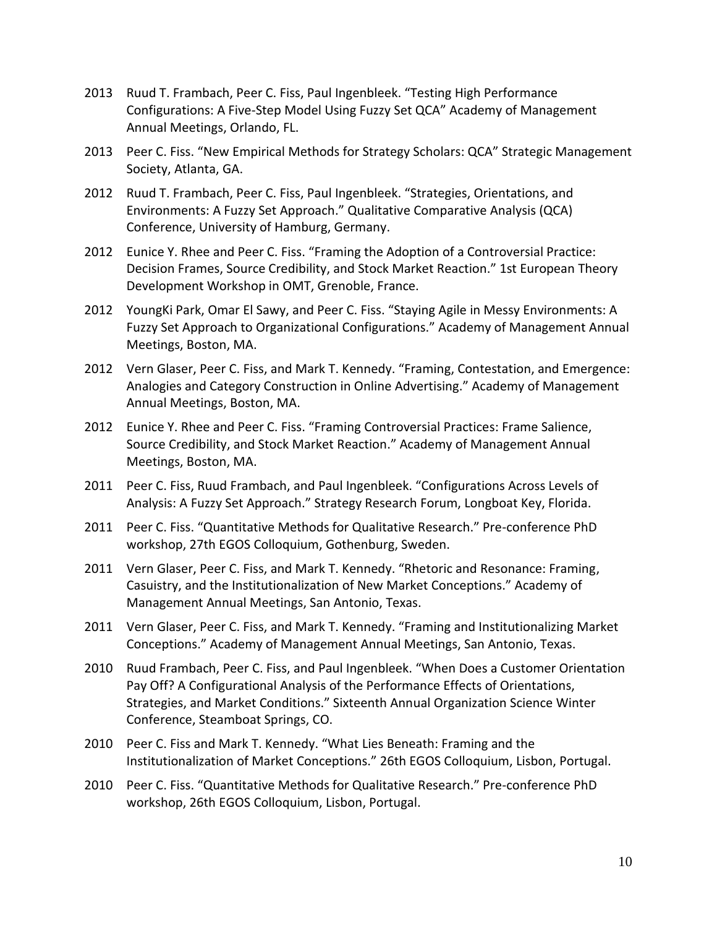- 2013 Ruud T. Frambach, Peer C. Fiss, Paul Ingenbleek. "Testing High Performance Configurations: A Five-Step Model Using Fuzzy Set QCA" Academy of Management Annual Meetings, Orlando, FL.
- 2013 Peer C. Fiss. "New Empirical Methods for Strategy Scholars: QCA" Strategic Management Society, Atlanta, GA.
- 2012 Ruud T. Frambach, Peer C. Fiss, Paul Ingenbleek. "Strategies, Orientations, and Environments: A Fuzzy Set Approach." Qualitative Comparative Analysis (QCA) Conference, University of Hamburg, Germany.
- 2012 Eunice Y. Rhee and Peer C. Fiss. "Framing the Adoption of a Controversial Practice: Decision Frames, Source Credibility, and Stock Market Reaction." 1st European Theory Development Workshop in OMT, Grenoble, France.
- 2012 YoungKi Park, Omar El Sawy, and Peer C. Fiss. "Staying Agile in Messy Environments: A Fuzzy Set Approach to Organizational Configurations." Academy of Management Annual Meetings, Boston, MA.
- 2012 Vern Glaser, Peer C. Fiss, and Mark T. Kennedy. "Framing, Contestation, and Emergence: Analogies and Category Construction in Online Advertising." Academy of Management Annual Meetings, Boston, MA.
- 2012 Eunice Y. Rhee and Peer C. Fiss. "Framing Controversial Practices: Frame Salience, Source Credibility, and Stock Market Reaction." Academy of Management Annual Meetings, Boston, MA.
- 2011 Peer C. Fiss, Ruud Frambach, and Paul Ingenbleek. "Configurations Across Levels of Analysis: A Fuzzy Set Approach." Strategy Research Forum, Longboat Key, Florida.
- 2011 Peer C. Fiss. "Quantitative Methods for Qualitative Research." Pre-conference PhD workshop, 27th EGOS Colloquium, Gothenburg, Sweden.
- 2011 Vern Glaser, Peer C. Fiss, and Mark T. Kennedy. "Rhetoric and Resonance: Framing, Casuistry, and the Institutionalization of New Market Conceptions." Academy of Management Annual Meetings, San Antonio, Texas.
- 2011 Vern Glaser, Peer C. Fiss, and Mark T. Kennedy. "Framing and Institutionalizing Market Conceptions." Academy of Management Annual Meetings, San Antonio, Texas.
- 2010 Ruud Frambach, Peer C. Fiss, and Paul Ingenbleek. "When Does a Customer Orientation Pay Off? A Configurational Analysis of the Performance Effects of Orientations, Strategies, and Market Conditions." Sixteenth Annual Organization Science Winter Conference, Steamboat Springs, CO.
- 2010 Peer C. Fiss and Mark T. Kennedy. "What Lies Beneath: Framing and the Institutionalization of Market Conceptions." 26th EGOS Colloquium, Lisbon, Portugal.
- 2010 Peer C. Fiss. "Quantitative Methods for Qualitative Research." Pre-conference PhD workshop, 26th EGOS Colloquium, Lisbon, Portugal.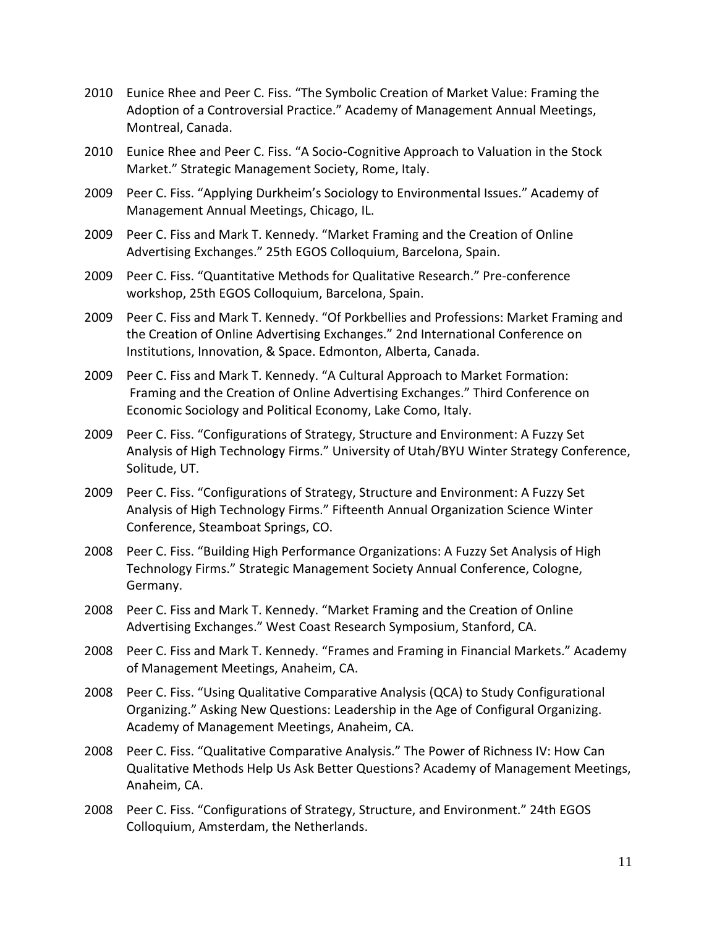- 2010 Eunice Rhee and Peer C. Fiss. "The Symbolic Creation of Market Value: Framing the Adoption of a Controversial Practice." Academy of Management Annual Meetings, Montreal, Canada.
- 2010 Eunice Rhee and Peer C. Fiss. "A Socio-Cognitive Approach to Valuation in the Stock Market." Strategic Management Society, Rome, Italy.
- 2009 Peer C. Fiss. "Applying Durkheim's Sociology to Environmental Issues." Academy of Management Annual Meetings, Chicago, IL.
- 2009 Peer C. Fiss and Mark T. Kennedy. "Market Framing and the Creation of Online Advertising Exchanges." 25th EGOS Colloquium, Barcelona, Spain.
- 2009 Peer C. Fiss. "Quantitative Methods for Qualitative Research." Pre-conference workshop, 25th EGOS Colloquium, Barcelona, Spain.
- 2009 Peer C. Fiss and Mark T. Kennedy. "Of Porkbellies and Professions: Market Framing and the Creation of Online Advertising Exchanges." 2nd International Conference on Institutions, Innovation, & Space. Edmonton, Alberta, Canada.
- 2009 Peer C. Fiss and Mark T. Kennedy. "A Cultural Approach to Market Formation: Framing and the Creation of Online Advertising Exchanges." Third Conference on Economic Sociology and Political Economy, Lake Como, Italy.
- 2009 Peer C. Fiss. "Configurations of Strategy, Structure and Environment: A Fuzzy Set Analysis of High Technology Firms." University of Utah/BYU Winter Strategy Conference, Solitude, UT.
- 2009 Peer C. Fiss. "Configurations of Strategy, Structure and Environment: A Fuzzy Set Analysis of High Technology Firms." Fifteenth Annual Organization Science Winter Conference, Steamboat Springs, CO.
- 2008 Peer C. Fiss. "Building High Performance Organizations: A Fuzzy Set Analysis of High Technology Firms." Strategic Management Society Annual Conference, Cologne, Germany.
- 2008 Peer C. Fiss and Mark T. Kennedy. "Market Framing and the Creation of Online Advertising Exchanges." West Coast Research Symposium, Stanford, CA.
- 2008 Peer C. Fiss and Mark T. Kennedy. "Frames and Framing in Financial Markets." Academy of Management Meetings, Anaheim, CA.
- 2008 Peer C. Fiss. "Using Qualitative Comparative Analysis (QCA) to Study Configurational Organizing." Asking New Questions: Leadership in the Age of Configural Organizing. Academy of Management Meetings, Anaheim, CA.
- 2008 Peer C. Fiss. "Qualitative Comparative Analysis." The Power of Richness IV: How Can Qualitative Methods Help Us Ask Better Questions? Academy of Management Meetings, Anaheim, CA.
- 2008 Peer C. Fiss. "Configurations of Strategy, Structure, and Environment." 24th EGOS Colloquium, Amsterdam, the Netherlands.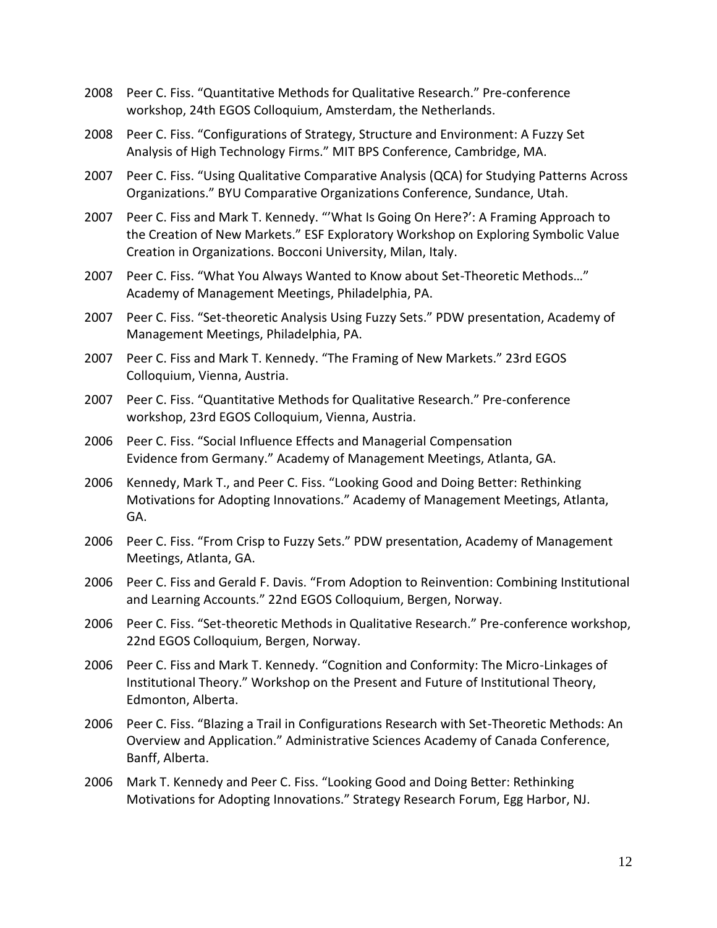- 2008 Peer C. Fiss. "Quantitative Methods for Qualitative Research." Pre-conference workshop, 24th EGOS Colloquium, Amsterdam, the Netherlands.
- 2008 Peer C. Fiss. "Configurations of Strategy, Structure and Environment: A Fuzzy Set Analysis of High Technology Firms." MIT BPS Conference, Cambridge, MA.
- 2007 Peer C. Fiss. "Using Qualitative Comparative Analysis (QCA) for Studying Patterns Across Organizations." BYU Comparative Organizations Conference, Sundance, Utah.
- 2007 Peer C. Fiss and Mark T. Kennedy. "'What Is Going On Here?': A Framing Approach to the Creation of New Markets." ESF Exploratory Workshop on Exploring Symbolic Value Creation in Organizations. Bocconi University, Milan, Italy.
- 2007 Peer C. Fiss. "What You Always Wanted to Know about Set-Theoretic Methods…" Academy of Management Meetings, Philadelphia, PA.
- 2007 Peer C. Fiss. "Set-theoretic Analysis Using Fuzzy Sets." PDW presentation, Academy of Management Meetings, Philadelphia, PA.
- 2007 Peer C. Fiss and Mark T. Kennedy. "The Framing of New Markets." 23rd EGOS Colloquium, Vienna, Austria.
- 2007 Peer C. Fiss. "Quantitative Methods for Qualitative Research." Pre-conference workshop, 23rd EGOS Colloquium, Vienna, Austria.
- 2006 Peer C. Fiss. "Social Influence Effects and Managerial Compensation Evidence from Germany." Academy of Management Meetings, Atlanta, GA.
- 2006 Kennedy, Mark T., and Peer C. Fiss. "Looking Good and Doing Better: Rethinking Motivations for Adopting Innovations." Academy of Management Meetings, Atlanta, GA.
- 2006 Peer C. Fiss. "From Crisp to Fuzzy Sets." PDW presentation, Academy of Management Meetings, Atlanta, GA.
- 2006 Peer C. Fiss and Gerald F. Davis. "From Adoption to Reinvention: Combining Institutional and Learning Accounts." 22nd EGOS Colloquium, Bergen, Norway.
- 2006 Peer C. Fiss. "Set-theoretic Methods in Qualitative Research." Pre-conference workshop, 22nd EGOS Colloquium, Bergen, Norway.
- 2006 Peer C. Fiss and Mark T. Kennedy. "Cognition and Conformity: The Micro-Linkages of Institutional Theory." Workshop on the Present and Future of Institutional Theory, Edmonton, Alberta.
- 2006 Peer C. Fiss. "Blazing a Trail in Configurations Research with Set-Theoretic Methods: An Overview and Application." Administrative Sciences Academy of Canada Conference, Banff, Alberta.
- 2006 Mark T. Kennedy and Peer C. Fiss. "Looking Good and Doing Better: Rethinking Motivations for Adopting Innovations." Strategy Research Forum, Egg Harbor, NJ.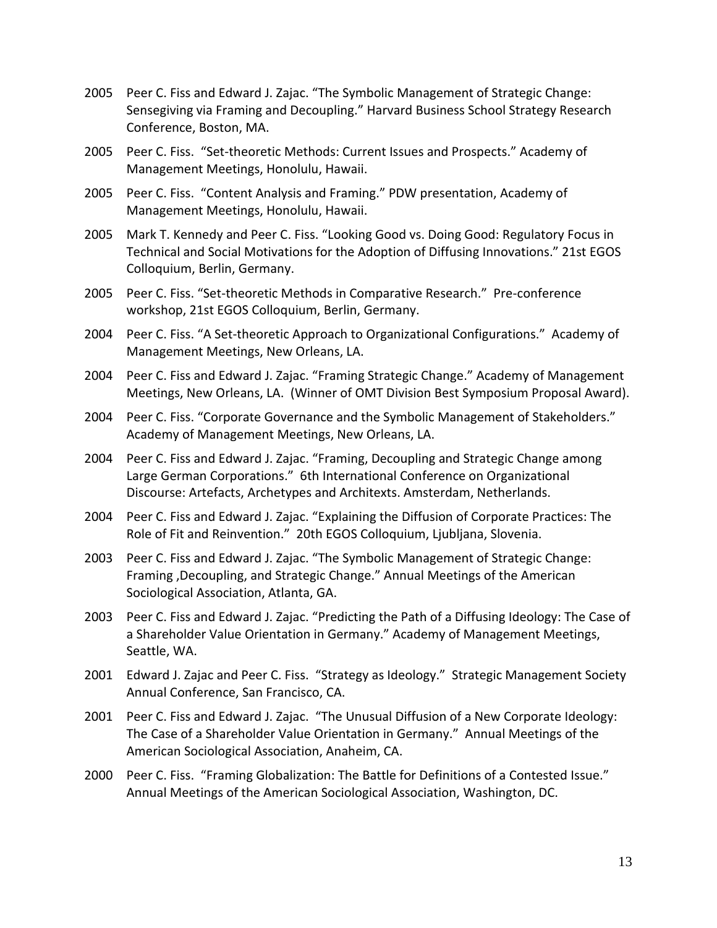- 2005 Peer C. Fiss and Edward J. Zajac. "The Symbolic Management of Strategic Change: Sensegiving via Framing and Decoupling." Harvard Business School Strategy Research Conference, Boston, MA.
- 2005 Peer C. Fiss. "Set-theoretic Methods: Current Issues and Prospects." Academy of Management Meetings, Honolulu, Hawaii.
- 2005 Peer C. Fiss. "Content Analysis and Framing." PDW presentation, Academy of Management Meetings, Honolulu, Hawaii.
- 2005 Mark T. Kennedy and Peer C. Fiss. "Looking Good vs. Doing Good: Regulatory Focus in Technical and Social Motivations for the Adoption of Diffusing Innovations." 21st EGOS Colloquium, Berlin, Germany.
- 2005 Peer C. Fiss. "Set-theoretic Methods in Comparative Research." Pre-conference workshop, 21st EGOS Colloquium, Berlin, Germany.
- 2004 Peer C. Fiss. "A Set-theoretic Approach to Organizational Configurations." Academy of Management Meetings, New Orleans, LA.
- 2004 Peer C. Fiss and Edward J. Zajac. "Framing Strategic Change." Academy of Management Meetings, New Orleans, LA. (Winner of OMT Division Best Symposium Proposal Award).
- 2004 Peer C. Fiss. "Corporate Governance and the Symbolic Management of Stakeholders." Academy of Management Meetings, New Orleans, LA.
- 2004 Peer C. Fiss and Edward J. Zajac. "Framing, Decoupling and Strategic Change among Large German Corporations." 6th International Conference on Organizational Discourse: Artefacts, Archetypes and Architexts. Amsterdam, Netherlands.
- 2004 Peer C. Fiss and Edward J. Zajac. "Explaining the Diffusion of Corporate Practices: The Role of Fit and Reinvention." 20th EGOS Colloquium, Ljubljana, Slovenia.
- 2003 Peer C. Fiss and Edward J. Zajac. "The Symbolic Management of Strategic Change: Framing ,Decoupling, and Strategic Change." Annual Meetings of the American Sociological Association, Atlanta, GA.
- 2003 Peer C. Fiss and Edward J. Zajac. "Predicting the Path of a Diffusing Ideology: The Case of a Shareholder Value Orientation in Germany." Academy of Management Meetings, Seattle, WA.
- 2001 Edward J. Zajac and Peer C. Fiss. "Strategy as Ideology." Strategic Management Society Annual Conference, San Francisco, CA.
- 2001 Peer C. Fiss and Edward J. Zajac. "The Unusual Diffusion of a New Corporate Ideology: The Case of a Shareholder Value Orientation in Germany." Annual Meetings of the American Sociological Association, Anaheim, CA.
- 2000 Peer C. Fiss. "Framing Globalization: The Battle for Definitions of a Contested Issue." Annual Meetings of the American Sociological Association, Washington, DC.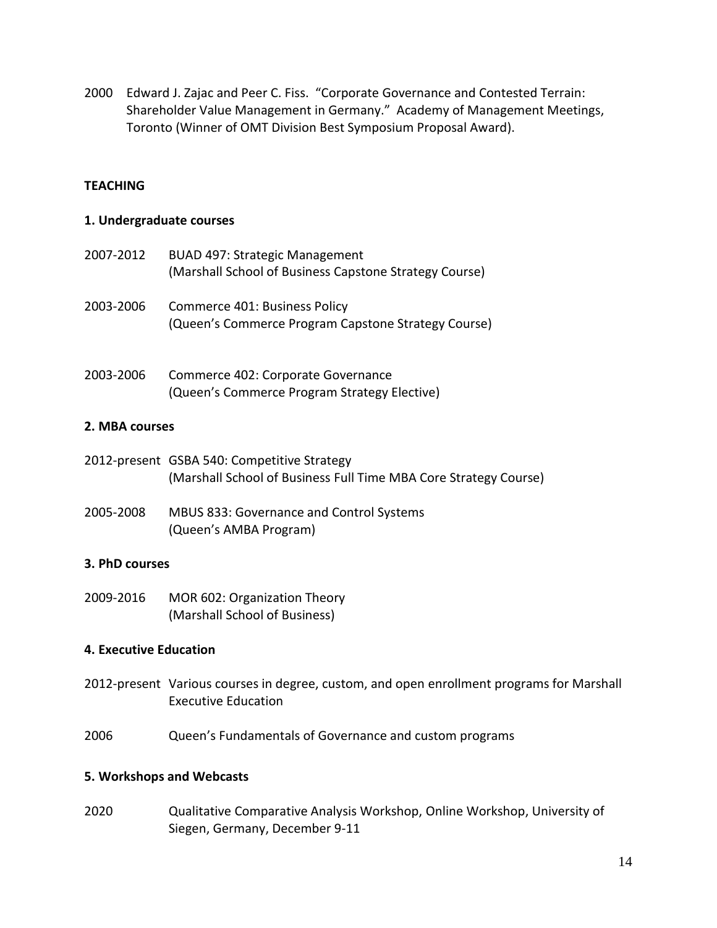2000 Edward J. Zajac and Peer C. Fiss. "Corporate Governance and Contested Terrain: Shareholder Value Management in Germany." Academy of Management Meetings, Toronto (Winner of OMT Division Best Symposium Proposal Award).

#### **TEACHING**

#### **1. Undergraduate courses**

- 2007-2012 BUAD 497: Strategic Management (Marshall School of Business Capstone Strategy Course)
- 2003-2006 Commerce 401: Business Policy (Queen's Commerce Program Capstone Strategy Course)
- 2003-2006 Commerce 402: Corporate Governance (Queen's Commerce Program Strategy Elective)

#### **2. MBA courses**

- 2012-present GSBA 540: Competitive Strategy (Marshall School of Business Full Time MBA Core Strategy Course)
- 2005-2008 MBUS 833: Governance and Control Systems (Queen's AMBA Program)

#### **3. PhD courses**

2009-2016 MOR 602: Organization Theory (Marshall School of Business)

#### **4. Executive Education**

- 2012-present Various courses in degree, custom, and open enrollment programs for Marshall Executive Education
- 2006 Queen's Fundamentals of Governance and custom programs

#### **5. Workshops and Webcasts**

2020 Qualitative Comparative Analysis Workshop, Online Workshop, University of Siegen, Germany, December 9-11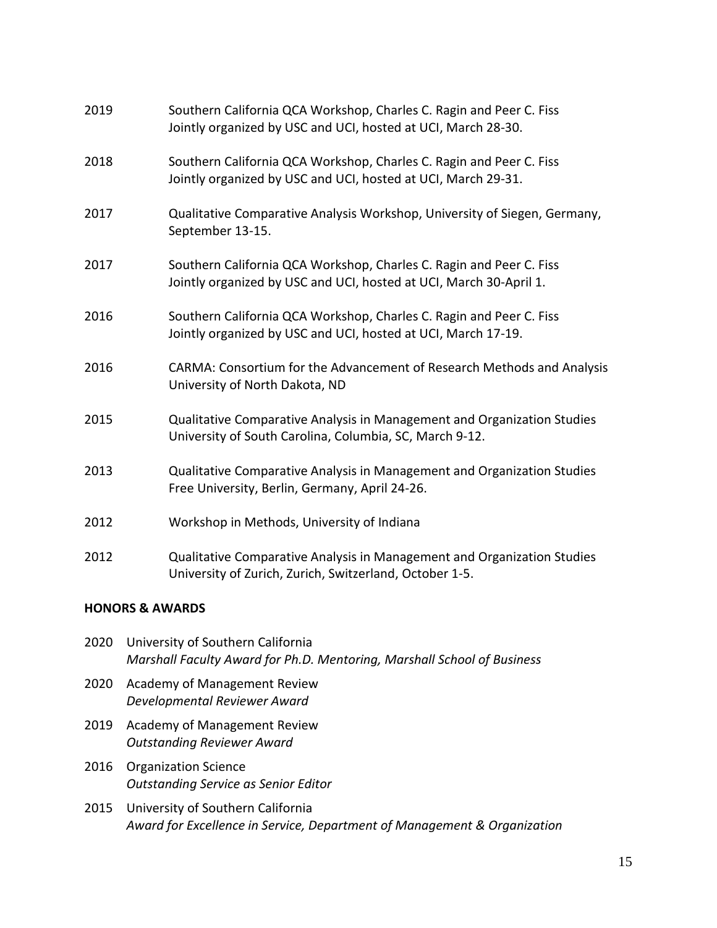| 2019 | Southern California QCA Workshop, Charles C. Ragin and Peer C. Fiss<br>Jointly organized by USC and UCI, hosted at UCI, March 28-30.      |
|------|-------------------------------------------------------------------------------------------------------------------------------------------|
| 2018 | Southern California QCA Workshop, Charles C. Ragin and Peer C. Fiss<br>Jointly organized by USC and UCI, hosted at UCI, March 29-31.      |
| 2017 | Qualitative Comparative Analysis Workshop, University of Siegen, Germany,<br>September 13-15.                                             |
| 2017 | Southern California QCA Workshop, Charles C. Ragin and Peer C. Fiss<br>Jointly organized by USC and UCI, hosted at UCI, March 30-April 1. |
| 2016 | Southern California QCA Workshop, Charles C. Ragin and Peer C. Fiss<br>Jointly organized by USC and UCI, hosted at UCI, March 17-19.      |
| 2016 | CARMA: Consortium for the Advancement of Research Methods and Analysis<br>University of North Dakota, ND                                  |
| 2015 | Qualitative Comparative Analysis in Management and Organization Studies<br>University of South Carolina, Columbia, SC, March 9-12.        |
| 2013 | Qualitative Comparative Analysis in Management and Organization Studies<br>Free University, Berlin, Germany, April 24-26.                 |
| 2012 | Workshop in Methods, University of Indiana                                                                                                |
| 2012 | Qualitative Comparative Analysis in Management and Organization Studies<br>University of Zurich, Zurich, Switzerland, October 1-5.        |

# **HONORS & AWARDS**

| 2020 | University of Southern California<br>Marshall Faculty Award for Ph.D. Mentoring, Marshall School of Business |
|------|--------------------------------------------------------------------------------------------------------------|
| 2020 | Academy of Management Review<br>Developmental Reviewer Award                                                 |
| 2019 | Academy of Management Review<br><b>Outstanding Reviewer Award</b>                                            |
| 2016 | <b>Organization Science</b><br><b>Outstanding Service as Senior Editor</b>                                   |

2015 University of Southern California *Award for Excellence in Service, Department of Management & Organization*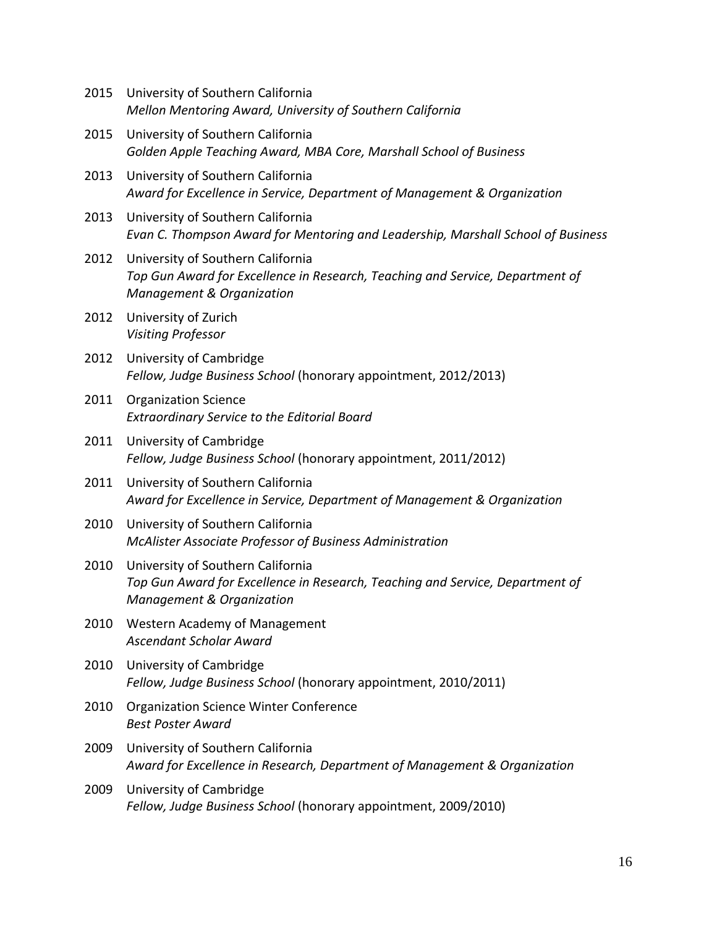| 2015 | University of Southern California<br>Mellon Mentoring Award, University of Southern California                                                             |
|------|------------------------------------------------------------------------------------------------------------------------------------------------------------|
| 2015 | University of Southern California<br>Golden Apple Teaching Award, MBA Core, Marshall School of Business                                                    |
| 2013 | University of Southern California<br>Award for Excellence in Service, Department of Management & Organization                                              |
| 2013 | University of Southern California<br>Evan C. Thompson Award for Mentoring and Leadership, Marshall School of Business                                      |
| 2012 | University of Southern California<br>Top Gun Award for Excellence in Research, Teaching and Service, Department of<br>Management & Organization            |
| 2012 | University of Zurich<br><b>Visiting Professor</b>                                                                                                          |
| 2012 | University of Cambridge<br>Fellow, Judge Business School (honorary appointment, 2012/2013)                                                                 |
| 2011 | <b>Organization Science</b><br><b>Extraordinary Service to the Editorial Board</b>                                                                         |
| 2011 | University of Cambridge<br>Fellow, Judge Business School (honorary appointment, 2011/2012)                                                                 |
| 2011 | University of Southern California<br>Award for Excellence in Service, Department of Management & Organization                                              |
| 2010 | University of Southern California<br>McAlister Associate Professor of Business Administration                                                              |
| 2010 | University of Southern California<br>Top Gun Award for Excellence in Research, Teaching and Service, Department of<br><b>Management &amp; Organization</b> |
| 2010 | Western Academy of Management<br><b>Ascendant Scholar Award</b>                                                                                            |
| 2010 | University of Cambridge<br>Fellow, Judge Business School (honorary appointment, 2010/2011)                                                                 |
| 2010 | <b>Organization Science Winter Conference</b><br><b>Best Poster Award</b>                                                                                  |
| 2009 | University of Southern California<br>Award for Excellence in Research, Department of Management & Organization                                             |
| 2009 | University of Cambridge<br>Fellow, Judge Business School (honorary appointment, 2009/2010)                                                                 |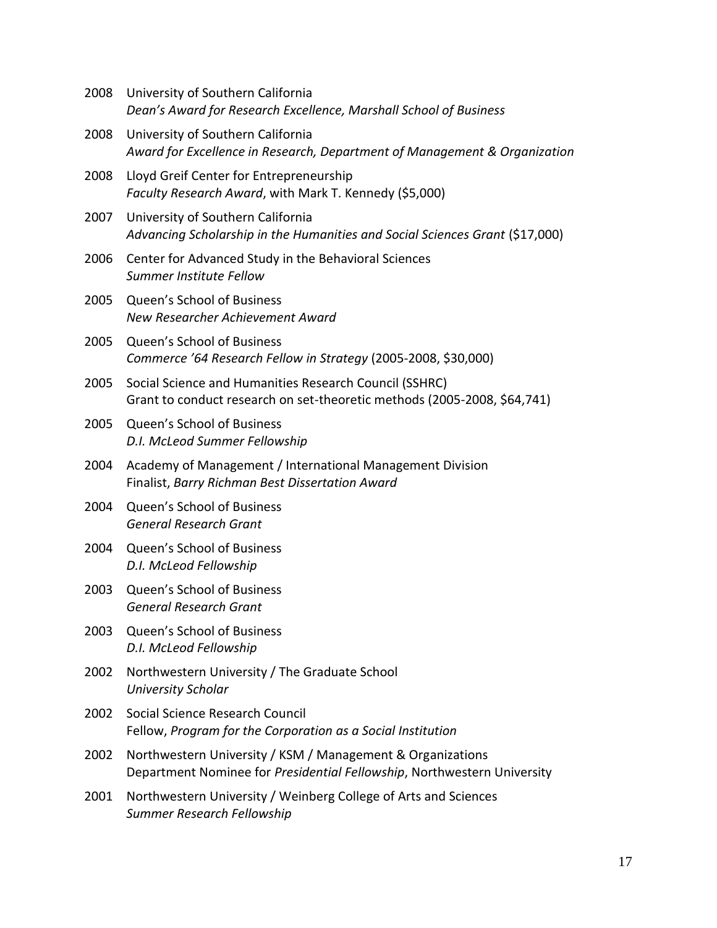| 2008 | University of Southern California<br>Dean's Award for Research Excellence, Marshall School of Business                                |
|------|---------------------------------------------------------------------------------------------------------------------------------------|
| 2008 | University of Southern California<br>Award for Excellence in Research, Department of Management & Organization                        |
| 2008 | Lloyd Greif Center for Entrepreneurship<br>Faculty Research Award, with Mark T. Kennedy (\$5,000)                                     |
| 2007 | University of Southern California<br>Advancing Scholarship in the Humanities and Social Sciences Grant (\$17,000)                     |
| 2006 | Center for Advanced Study in the Behavioral Sciences<br>Summer Institute Fellow                                                       |
| 2005 | Queen's School of Business<br>New Researcher Achievement Award                                                                        |
| 2005 | Queen's School of Business<br>Commerce '64 Research Fellow in Strategy (2005-2008, \$30,000)                                          |
| 2005 | Social Science and Humanities Research Council (SSHRC)<br>Grant to conduct research on set-theoretic methods (2005-2008, \$64,741)    |
| 2005 | Queen's School of Business<br>D.I. McLeod Summer Fellowship                                                                           |
| 2004 | Academy of Management / International Management Division<br>Finalist, Barry Richman Best Dissertation Award                          |
| 2004 | Queen's School of Business<br><b>General Research Grant</b>                                                                           |
| 2004 | Queen's School of Business<br>D.I. McLeod Fellowship                                                                                  |
| 2003 | Queen's School of Business<br><b>General Research Grant</b>                                                                           |
| 2003 | Queen's School of Business<br>D.I. McLeod Fellowship                                                                                  |
| 2002 | Northwestern University / The Graduate School<br><b>University Scholar</b>                                                            |
| 2002 | Social Science Research Council<br>Fellow, Program for the Corporation as a Social Institution                                        |
| 2002 | Northwestern University / KSM / Management & Organizations<br>Department Nominee for Presidential Fellowship, Northwestern University |
| 2001 | Northwestern University / Weinberg College of Arts and Sciences<br><b>Summer Research Fellowship</b>                                  |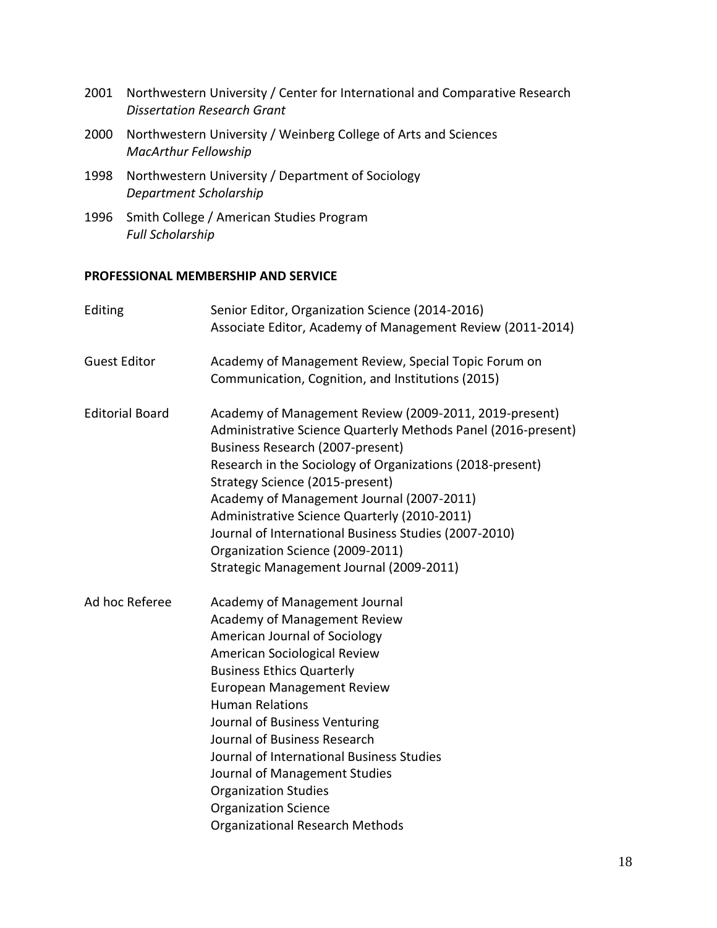- 2001 Northwestern University / Center for International and Comparative Research *Dissertation Research Grant*
- 2000 Northwestern University / Weinberg College of Arts and Sciences *MacArthur Fellowship*
- 1998 Northwestern University / Department of Sociology *Department Scholarship*
- 1996 Smith College / American Studies Program *Full Scholarship*

#### **PROFESSIONAL MEMBERSHIP AND SERVICE**

| Editing                | Senior Editor, Organization Science (2014-2016)<br>Associate Editor, Academy of Management Review (2011-2014)                                                                                                                                                                                                                                                                                                                                                                                     |
|------------------------|---------------------------------------------------------------------------------------------------------------------------------------------------------------------------------------------------------------------------------------------------------------------------------------------------------------------------------------------------------------------------------------------------------------------------------------------------------------------------------------------------|
| <b>Guest Editor</b>    | Academy of Management Review, Special Topic Forum on<br>Communication, Cognition, and Institutions (2015)                                                                                                                                                                                                                                                                                                                                                                                         |
| <b>Editorial Board</b> | Academy of Management Review (2009-2011, 2019-present)<br>Administrative Science Quarterly Methods Panel (2016-present)<br>Business Research (2007-present)<br>Research in the Sociology of Organizations (2018-present)<br>Strategy Science (2015-present)<br>Academy of Management Journal (2007-2011)<br>Administrative Science Quarterly (2010-2011)<br>Journal of International Business Studies (2007-2010)<br>Organization Science (2009-2011)<br>Strategic Management Journal (2009-2011) |
| Ad hoc Referee         | Academy of Management Journal<br>Academy of Management Review<br>American Journal of Sociology<br>American Sociological Review<br><b>Business Ethics Quarterly</b><br><b>European Management Review</b><br><b>Human Relations</b><br>Journal of Business Venturing<br>Journal of Business Research<br>Journal of International Business Studies<br>Journal of Management Studies<br><b>Organization Studies</b><br><b>Organization Science</b><br><b>Organizational Research Methods</b>          |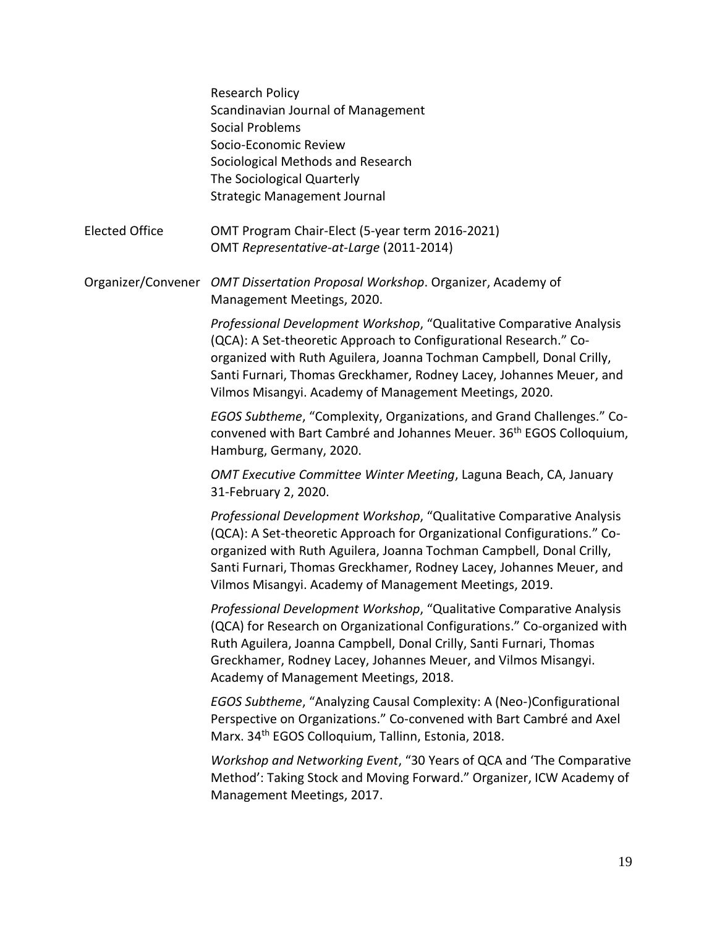|                       | <b>Research Policy</b><br>Scandinavian Journal of Management<br><b>Social Problems</b><br>Socio-Economic Review<br>Sociological Methods and Research<br>The Sociological Quarterly<br><b>Strategic Management Journal</b>                                                                                                                                |
|-----------------------|----------------------------------------------------------------------------------------------------------------------------------------------------------------------------------------------------------------------------------------------------------------------------------------------------------------------------------------------------------|
| <b>Elected Office</b> | OMT Program Chair-Elect (5-year term 2016-2021)<br>OMT Representative-at-Large (2011-2014)                                                                                                                                                                                                                                                               |
|                       | Organizer/Convener OMT Dissertation Proposal Workshop. Organizer, Academy of<br>Management Meetings, 2020.                                                                                                                                                                                                                                               |
|                       | Professional Development Workshop, "Qualitative Comparative Analysis<br>(QCA): A Set-theoretic Approach to Configurational Research." Co-<br>organized with Ruth Aguilera, Joanna Tochman Campbell, Donal Crilly,<br>Santi Furnari, Thomas Greckhamer, Rodney Lacey, Johannes Meuer, and<br>Vilmos Misangyi. Academy of Management Meetings, 2020.       |
|                       | EGOS Subtheme, "Complexity, Organizations, and Grand Challenges." Co-<br>convened with Bart Cambré and Johannes Meuer. 36 <sup>th</sup> EGOS Colloquium,<br>Hamburg, Germany, 2020.                                                                                                                                                                      |
|                       | <b>OMT Executive Committee Winter Meeting, Laguna Beach, CA, January</b><br>31-February 2, 2020.                                                                                                                                                                                                                                                         |
|                       | Professional Development Workshop, "Qualitative Comparative Analysis<br>(QCA): A Set-theoretic Approach for Organizational Configurations." Co-<br>organized with Ruth Aguilera, Joanna Tochman Campbell, Donal Crilly,<br>Santi Furnari, Thomas Greckhamer, Rodney Lacey, Johannes Meuer, and<br>Vilmos Misangyi. Academy of Management Meetings, 2019. |
|                       | Professional Development Workshop, "Qualitative Comparative Analysis<br>(QCA) for Research on Organizational Configurations." Co-organized with<br>Ruth Aguilera, Joanna Campbell, Donal Crilly, Santi Furnari, Thomas<br>Greckhamer, Rodney Lacey, Johannes Meuer, and Vilmos Misangyi.<br>Academy of Management Meetings, 2018.                        |
|                       | EGOS Subtheme, "Analyzing Causal Complexity: A (Neo-)Configurational<br>Perspective on Organizations." Co-convened with Bart Cambré and Axel<br>Marx. 34 <sup>th</sup> EGOS Colloquium, Tallinn, Estonia, 2018.                                                                                                                                          |
|                       | Workshop and Networking Event, "30 Years of QCA and 'The Comparative<br>Method': Taking Stock and Moving Forward." Organizer, ICW Academy of<br>Management Meetings, 2017.                                                                                                                                                                               |
|                       |                                                                                                                                                                                                                                                                                                                                                          |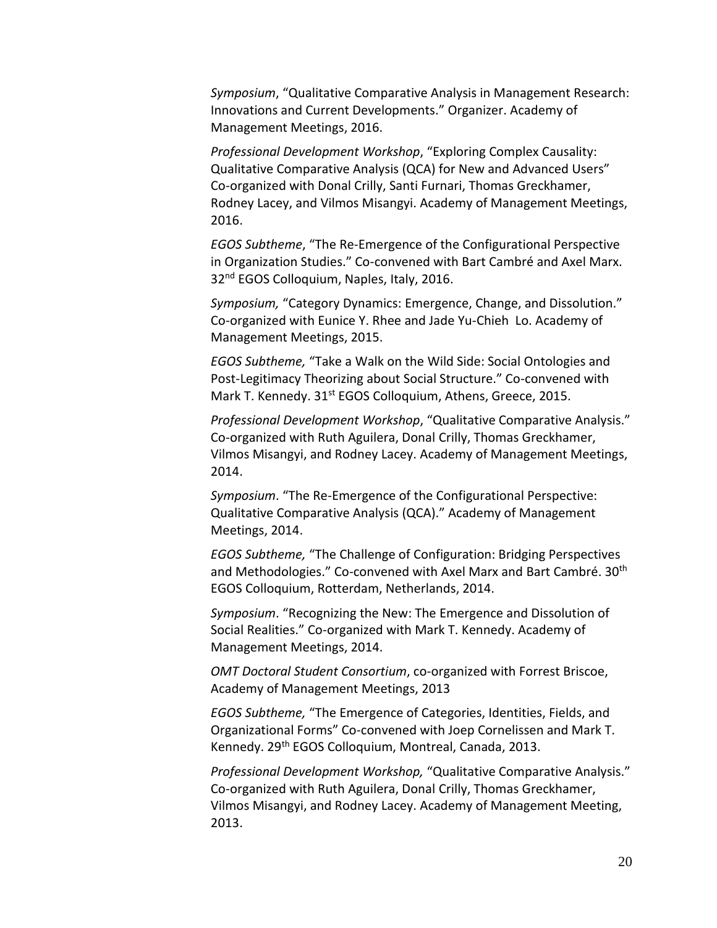*Symposium*, "Qualitative Comparative Analysis in Management Research: Innovations and Current Developments." Organizer. Academy of Management Meetings, 2016.

*Professional Development Workshop*, "Exploring Complex Causality: Qualitative Comparative Analysis (QCA) for New and Advanced Users" Co-organized with Donal Crilly, Santi Furnari, Thomas Greckhamer, Rodney Lacey, and Vilmos Misangyi. Academy of Management Meetings, 2016.

*EGOS Subtheme*, "The Re-Emergence of the Configurational Perspective in Organization Studies." Co-convened with Bart Cambré and Axel Marx. 32<sup>nd</sup> EGOS Colloquium, Naples, Italy, 2016.

*Symposium,* "Category Dynamics: Emergence, Change, and Dissolution." Co-organized with Eunice Y. Rhee and Jade Yu-Chieh Lo. Academy of Management Meetings, 2015.

*EGOS Subtheme,* "Take a Walk on the Wild Side: Social Ontologies and Post-Legitimacy Theorizing about Social Structure." Co-convened with Mark T. Kennedy. 31<sup>st</sup> EGOS Colloquium, Athens, Greece, 2015.

*Professional Development Workshop*, "Qualitative Comparative Analysis." Co-organized with Ruth Aguilera, Donal Crilly, Thomas Greckhamer, Vilmos Misangyi, and Rodney Lacey. Academy of Management Meetings, 2014.

*Symposium*. "The Re-Emergence of the Configurational Perspective: Qualitative Comparative Analysis (QCA)." Academy of Management Meetings, 2014.

*EGOS Subtheme,* "The Challenge of Configuration: Bridging Perspectives and Methodologies." Co-convened with Axel Marx and Bart Cambré. 30th EGOS Colloquium, Rotterdam, Netherlands, 2014.

*Symposium*. "Recognizing the New: The Emergence and Dissolution of Social Realities." Co-organized with Mark T. Kennedy. Academy of Management Meetings, 2014.

*OMT Doctoral Student Consortium*, co-organized with Forrest Briscoe, Academy of Management Meetings, 2013

*EGOS Subtheme,* "The Emergence of Categories, Identities, Fields, and Organizational Forms" Co-convened with Joep Cornelissen and Mark T. Kennedy. 29<sup>th</sup> EGOS Colloquium, Montreal, Canada, 2013.

*Professional Development Workshop,* "Qualitative Comparative Analysis." Co-organized with Ruth Aguilera, Donal Crilly, Thomas Greckhamer, Vilmos Misangyi, and Rodney Lacey. Academy of Management Meeting, 2013.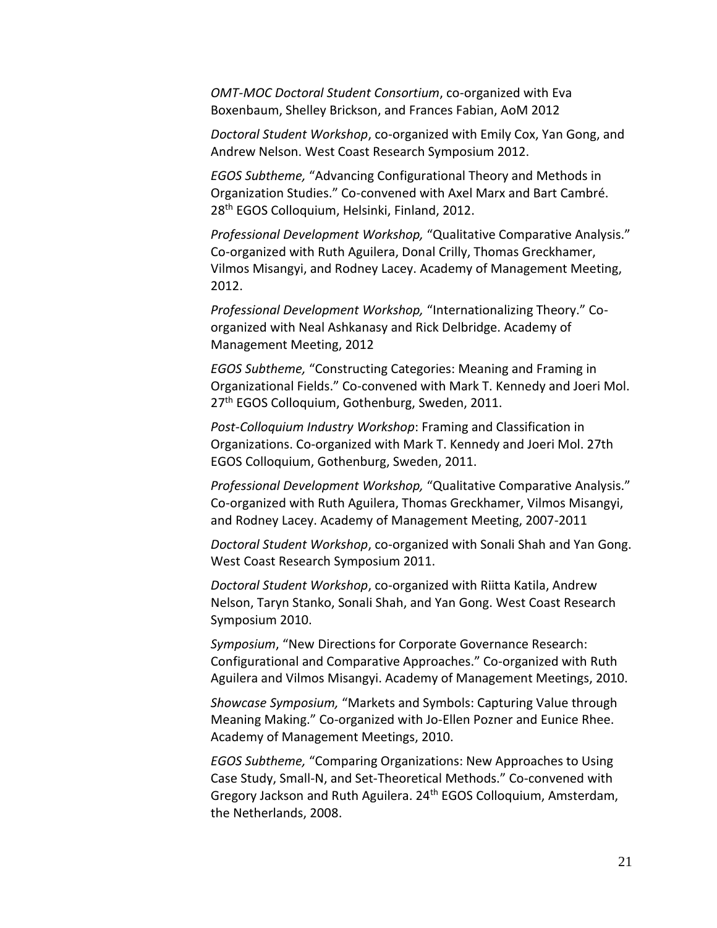*OMT-MOC Doctoral Student Consortium*, co-organized with Eva Boxenbaum, Shelley Brickson, and Frances Fabian, AoM 2012

*Doctoral Student Workshop*, co-organized with Emily Cox, Yan Gong, and Andrew Nelson. West Coast Research Symposium 2012.

*EGOS Subtheme,* "Advancing Configurational Theory and Methods in Organization Studies." Co-convened with Axel Marx and Bart Cambré. 28<sup>th</sup> EGOS Colloquium, Helsinki, Finland, 2012.

*Professional Development Workshop,* "Qualitative Comparative Analysis." Co-organized with Ruth Aguilera, Donal Crilly, Thomas Greckhamer, Vilmos Misangyi, and Rodney Lacey. Academy of Management Meeting, 2012.

*Professional Development Workshop,* "Internationalizing Theory." Coorganized with Neal Ashkanasy and Rick Delbridge. Academy of Management Meeting, 2012

*EGOS Subtheme,* "Constructing Categories: Meaning and Framing in Organizational Fields." Co-convened with Mark T. Kennedy and Joeri Mol. 27<sup>th</sup> EGOS Colloquium, Gothenburg, Sweden, 2011.

*Post-Colloquium Industry Workshop*: Framing and Classification in Organizations. Co-organized with Mark T. Kennedy and Joeri Mol. 27th EGOS Colloquium, Gothenburg, Sweden, 2011.

*Professional Development Workshop,* "Qualitative Comparative Analysis." Co-organized with Ruth Aguilera, Thomas Greckhamer, Vilmos Misangyi, and Rodney Lacey. Academy of Management Meeting, 2007-2011

*Doctoral Student Workshop*, co-organized with Sonali Shah and Yan Gong. West Coast Research Symposium 2011.

*Doctoral Student Workshop*, co-organized with Riitta Katila, Andrew Nelson, Taryn Stanko, Sonali Shah, and Yan Gong. West Coast Research Symposium 2010.

*Symposium*, "New Directions for Corporate Governance Research: Configurational and Comparative Approaches." Co-organized with Ruth Aguilera and Vilmos Misangyi. Academy of Management Meetings, 2010.

*Showcase Symposium,* "Markets and Symbols: Capturing Value through Meaning Making." Co-organized with Jo-Ellen Pozner and Eunice Rhee. Academy of Management Meetings, 2010.

*EGOS Subtheme,* "Comparing Organizations: New Approaches to Using Case Study, Small-N, and Set-Theoretical Methods." Co-convened with Gregory Jackson and Ruth Aguilera. 24<sup>th</sup> EGOS Colloquium, Amsterdam, the Netherlands, 2008.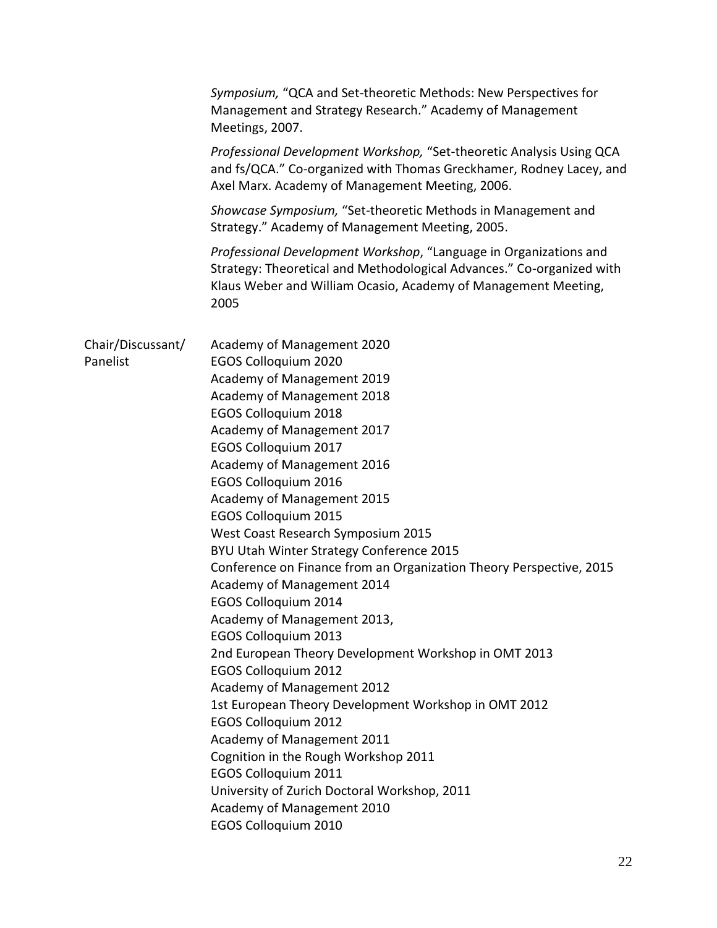|                               | Symposium, "QCA and Set-theoretic Methods: New Perspectives for<br>Management and Strategy Research." Academy of Management<br>Meetings, 2007.                                                                                                                                                                                                                                                                                                                                                                                                                                                                                                                                                                                                                                                                                                                                                                                                                                                                                           |
|-------------------------------|------------------------------------------------------------------------------------------------------------------------------------------------------------------------------------------------------------------------------------------------------------------------------------------------------------------------------------------------------------------------------------------------------------------------------------------------------------------------------------------------------------------------------------------------------------------------------------------------------------------------------------------------------------------------------------------------------------------------------------------------------------------------------------------------------------------------------------------------------------------------------------------------------------------------------------------------------------------------------------------------------------------------------------------|
|                               | Professional Development Workshop, "Set-theoretic Analysis Using QCA<br>and fs/QCA." Co-organized with Thomas Greckhamer, Rodney Lacey, and<br>Axel Marx. Academy of Management Meeting, 2006.                                                                                                                                                                                                                                                                                                                                                                                                                                                                                                                                                                                                                                                                                                                                                                                                                                           |
|                               | Showcase Symposium, "Set-theoretic Methods in Management and<br>Strategy." Academy of Management Meeting, 2005.                                                                                                                                                                                                                                                                                                                                                                                                                                                                                                                                                                                                                                                                                                                                                                                                                                                                                                                          |
|                               | Professional Development Workshop, "Language in Organizations and<br>Strategy: Theoretical and Methodological Advances." Co-organized with<br>Klaus Weber and William Ocasio, Academy of Management Meeting,<br>2005                                                                                                                                                                                                                                                                                                                                                                                                                                                                                                                                                                                                                                                                                                                                                                                                                     |
| Chair/Discussant/<br>Panelist | Academy of Management 2020<br><b>EGOS Colloquium 2020</b><br>Academy of Management 2019<br>Academy of Management 2018<br><b>EGOS Colloquium 2018</b><br>Academy of Management 2017<br>EGOS Colloquium 2017<br>Academy of Management 2016<br><b>EGOS Colloquium 2016</b><br>Academy of Management 2015<br><b>EGOS Colloquium 2015</b><br>West Coast Research Symposium 2015<br>BYU Utah Winter Strategy Conference 2015<br>Conference on Finance from an Organization Theory Perspective, 2015<br>Academy of Management 2014<br><b>EGOS Colloquium 2014</b><br>Academy of Management 2013,<br><b>EGOS Colloquium 2013</b><br>2nd European Theory Development Workshop in OMT 2013<br><b>EGOS Colloquium 2012</b><br>Academy of Management 2012<br>1st European Theory Development Workshop in OMT 2012<br><b>EGOS Colloquium 2012</b><br>Academy of Management 2011<br>Cognition in the Rough Workshop 2011<br>EGOS Colloquium 2011<br>University of Zurich Doctoral Workshop, 2011<br>Academy of Management 2010<br>EGOS Colloquium 2010 |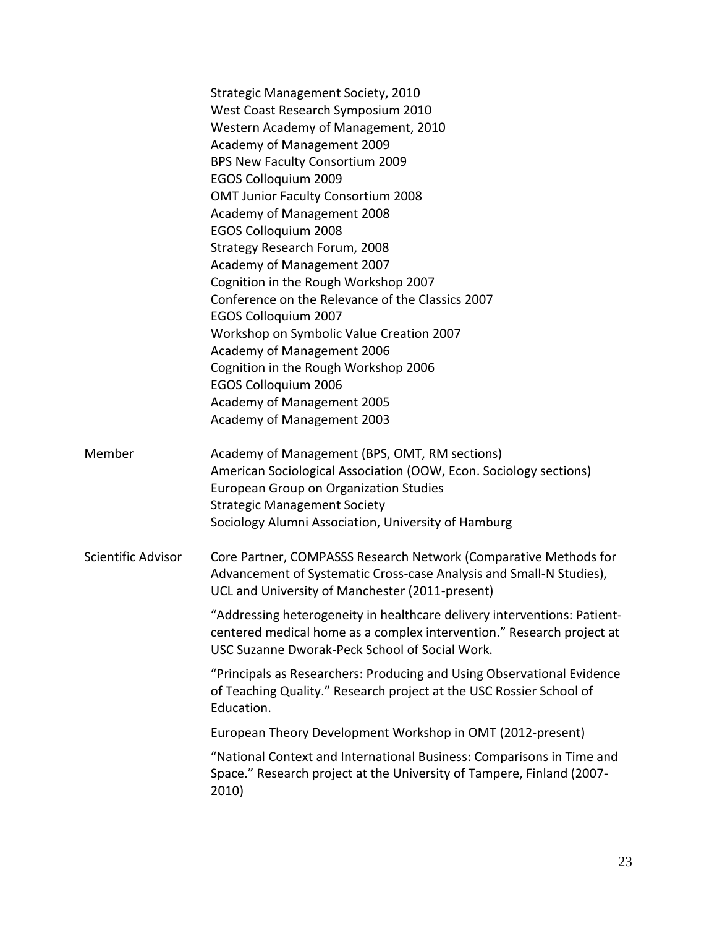|                    | Strategic Management Society, 2010<br>West Coast Research Symposium 2010<br>Western Academy of Management, 2010<br>Academy of Management 2009<br>BPS New Faculty Consortium 2009<br><b>EGOS Colloquium 2009</b><br><b>OMT Junior Faculty Consortium 2008</b><br>Academy of Management 2008<br><b>EGOS Colloquium 2008</b><br>Strategy Research Forum, 2008<br>Academy of Management 2007<br>Cognition in the Rough Workshop 2007<br>Conference on the Relevance of the Classics 2007<br><b>EGOS Colloquium 2007</b><br>Workshop on Symbolic Value Creation 2007<br>Academy of Management 2006<br>Cognition in the Rough Workshop 2006<br><b>EGOS Colloquium 2006</b> |
|--------------------|----------------------------------------------------------------------------------------------------------------------------------------------------------------------------------------------------------------------------------------------------------------------------------------------------------------------------------------------------------------------------------------------------------------------------------------------------------------------------------------------------------------------------------------------------------------------------------------------------------------------------------------------------------------------|
|                    | Academy of Management 2005<br>Academy of Management 2003                                                                                                                                                                                                                                                                                                                                                                                                                                                                                                                                                                                                             |
| Member             | Academy of Management (BPS, OMT, RM sections)<br>American Sociological Association (OOW, Econ. Sociology sections)<br><b>European Group on Organization Studies</b><br><b>Strategic Management Society</b><br>Sociology Alumni Association, University of Hamburg                                                                                                                                                                                                                                                                                                                                                                                                    |
| Scientific Advisor | Core Partner, COMPASSS Research Network (Comparative Methods for<br>Advancement of Systematic Cross-case Analysis and Small-N Studies),<br>UCL and University of Manchester (2011-present)                                                                                                                                                                                                                                                                                                                                                                                                                                                                           |
|                    | "Addressing heterogeneity in healthcare delivery interventions: Patient-<br>centered medical home as a complex intervention." Research project at<br>USC Suzanne Dworak-Peck School of Social Work.                                                                                                                                                                                                                                                                                                                                                                                                                                                                  |
|                    | "Principals as Researchers: Producing and Using Observational Evidence<br>of Teaching Quality." Research project at the USC Rossier School of<br>Education.                                                                                                                                                                                                                                                                                                                                                                                                                                                                                                          |
|                    | European Theory Development Workshop in OMT (2012-present)                                                                                                                                                                                                                                                                                                                                                                                                                                                                                                                                                                                                           |
|                    | "National Context and International Business: Comparisons in Time and<br>Space." Research project at the University of Tampere, Finland (2007-<br>2010)                                                                                                                                                                                                                                                                                                                                                                                                                                                                                                              |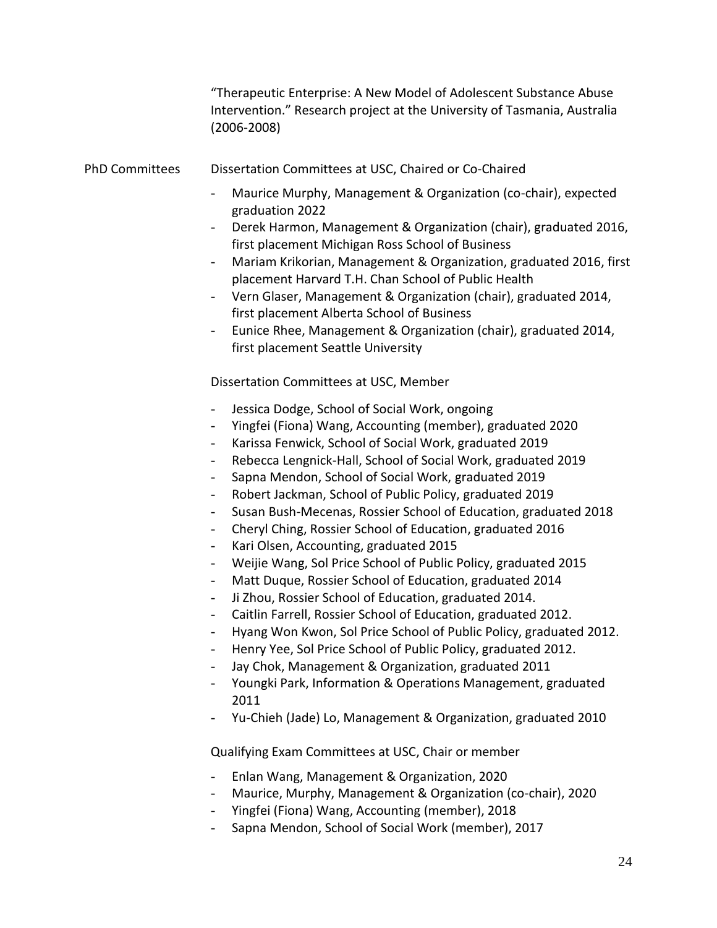|                       | "Therapeutic Enterprise: A New Model of Adolescent Substance Abuse<br>Intervention." Research project at the University of Tasmania, Australia<br>$(2006 - 2008)$                                                                                                                                                                                                                                                                                                                                                                                                                                                                                                                                                                                                                                                                                                                                                                                                                                                                                                                                                                                                                                                                                                                                                                                                                                                                                                                                                          |
|-----------------------|----------------------------------------------------------------------------------------------------------------------------------------------------------------------------------------------------------------------------------------------------------------------------------------------------------------------------------------------------------------------------------------------------------------------------------------------------------------------------------------------------------------------------------------------------------------------------------------------------------------------------------------------------------------------------------------------------------------------------------------------------------------------------------------------------------------------------------------------------------------------------------------------------------------------------------------------------------------------------------------------------------------------------------------------------------------------------------------------------------------------------------------------------------------------------------------------------------------------------------------------------------------------------------------------------------------------------------------------------------------------------------------------------------------------------------------------------------------------------------------------------------------------------|
| <b>PhD Committees</b> | Dissertation Committees at USC, Chaired or Co-Chaired                                                                                                                                                                                                                                                                                                                                                                                                                                                                                                                                                                                                                                                                                                                                                                                                                                                                                                                                                                                                                                                                                                                                                                                                                                                                                                                                                                                                                                                                      |
|                       | Maurice Murphy, Management & Organization (co-chair), expected<br>graduation 2022<br>Derek Harmon, Management & Organization (chair), graduated 2016,<br>first placement Michigan Ross School of Business<br>Mariam Krikorian, Management & Organization, graduated 2016, first<br>$\overline{\phantom{0}}$<br>placement Harvard T.H. Chan School of Public Health<br>Vern Glaser, Management & Organization (chair), graduated 2014,<br>$\overline{\phantom{a}}$<br>first placement Alberta School of Business<br>Eunice Rhee, Management & Organization (chair), graduated 2014,<br>$\qquad \qquad \blacksquare$<br>first placement Seattle University                                                                                                                                                                                                                                                                                                                                                                                                                                                                                                                                                                                                                                                                                                                                                                                                                                                                   |
|                       | Dissertation Committees at USC, Member                                                                                                                                                                                                                                                                                                                                                                                                                                                                                                                                                                                                                                                                                                                                                                                                                                                                                                                                                                                                                                                                                                                                                                                                                                                                                                                                                                                                                                                                                     |
|                       | Jessica Dodge, School of Social Work, ongoing<br>$\overline{\phantom{0}}$<br>Yingfei (Fiona) Wang, Accounting (member), graduated 2020<br>$\qquad \qquad \blacksquare$<br>Karissa Fenwick, School of Social Work, graduated 2019<br>$\overline{\phantom{a}}$<br>Rebecca Lengnick-Hall, School of Social Work, graduated 2019<br>$\overline{\phantom{0}}$<br>Sapna Mendon, School of Social Work, graduated 2019<br>$\qquad \qquad -$<br>Robert Jackman, School of Public Policy, graduated 2019<br>$\qquad \qquad \blacksquare$<br>Susan Bush-Mecenas, Rossier School of Education, graduated 2018<br>$\qquad \qquad \blacksquare$<br>Cheryl Ching, Rossier School of Education, graduated 2016<br>$\overline{\phantom{a}}$<br>Kari Olsen, Accounting, graduated 2015<br>$\qquad \qquad -$<br>Weijie Wang, Sol Price School of Public Policy, graduated 2015<br>$\qquad \qquad \blacksquare$<br>Matt Duque, Rossier School of Education, graduated 2014<br>$\qquad \qquad -$<br>Ji Zhou, Rossier School of Education, graduated 2014.<br>$\qquad \qquad -$<br>Caitlin Farrell, Rossier School of Education, graduated 2012.<br>Hyang Won Kwon, Sol Price School of Public Policy, graduated 2012.<br>Henry Yee, Sol Price School of Public Policy, graduated 2012.<br>$\overline{\phantom{a}}$<br>Jay Chok, Management & Organization, graduated 2011<br>$\overline{\phantom{a}}$<br>Youngki Park, Information & Operations Management, graduated<br>2011<br>Yu-Chieh (Jade) Lo, Management & Organization, graduated 2010 |
|                       | Qualifying Exam Committees at USC, Chair or member                                                                                                                                                                                                                                                                                                                                                                                                                                                                                                                                                                                                                                                                                                                                                                                                                                                                                                                                                                                                                                                                                                                                                                                                                                                                                                                                                                                                                                                                         |
|                       | Enlan Wang, Management & Organization, 2020<br>Maurice, Murphy, Management & Organization (co-chair), 2020                                                                                                                                                                                                                                                                                                                                                                                                                                                                                                                                                                                                                                                                                                                                                                                                                                                                                                                                                                                                                                                                                                                                                                                                                                                                                                                                                                                                                 |

- Yingfei (Fiona) Wang, Accounting (member), 2018
- Sapna Mendon, School of Social Work (member), 2017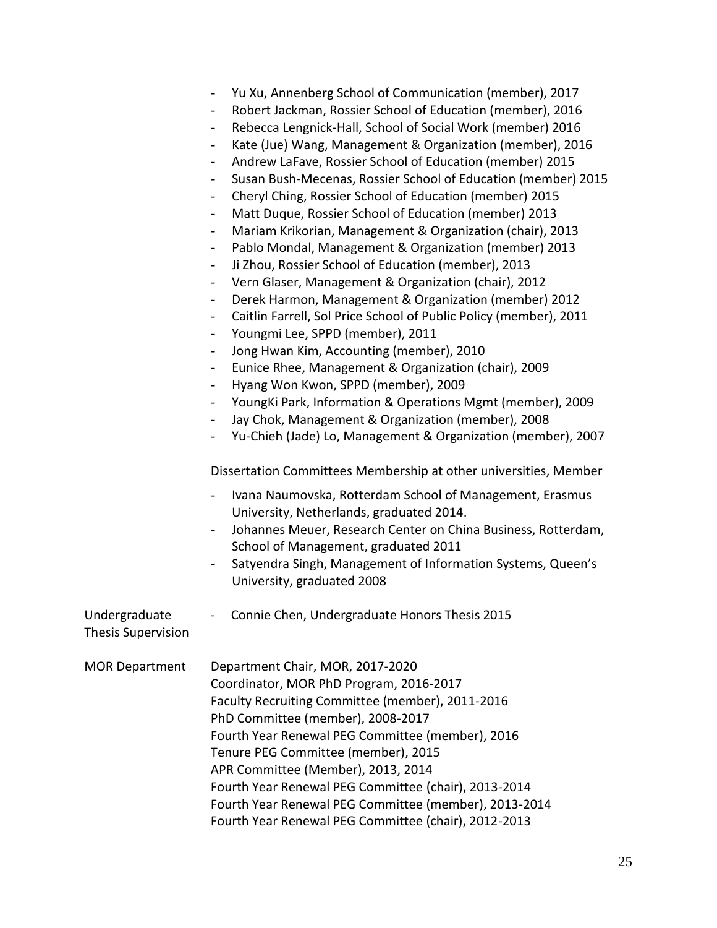|                                            | Yu Xu, Annenberg School of Communication (member), 2017<br>$\overline{\phantom{0}}$<br>Robert Jackman, Rossier School of Education (member), 2016<br>$\overline{\phantom{0}}$<br>Rebecca Lengnick-Hall, School of Social Work (member) 2016<br>$\overline{\phantom{0}}$<br>Kate (Jue) Wang, Management & Organization (member), 2016<br>$\overline{\phantom{0}}$<br>Andrew LaFave, Rossier School of Education (member) 2015<br>$\overline{\phantom{0}}$<br>Susan Bush-Mecenas, Rossier School of Education (member) 2015<br>$\overline{\phantom{0}}$<br>Cheryl Ching, Rossier School of Education (member) 2015<br>$\overline{\phantom{0}}$                                                                                                                                                                                                                                                                                                                                                                                                                                                                                                                                                        |
|--------------------------------------------|-----------------------------------------------------------------------------------------------------------------------------------------------------------------------------------------------------------------------------------------------------------------------------------------------------------------------------------------------------------------------------------------------------------------------------------------------------------------------------------------------------------------------------------------------------------------------------------------------------------------------------------------------------------------------------------------------------------------------------------------------------------------------------------------------------------------------------------------------------------------------------------------------------------------------------------------------------------------------------------------------------------------------------------------------------------------------------------------------------------------------------------------------------------------------------------------------------|
|                                            | Matt Duque, Rossier School of Education (member) 2013<br>$\overline{\phantom{0}}$<br>Mariam Krikorian, Management & Organization (chair), 2013<br>$\overline{\phantom{0}}$<br>Pablo Mondal, Management & Organization (member) 2013<br>$\overline{\phantom{0}}$<br>Ji Zhou, Rossier School of Education (member), 2013<br>$\overline{\phantom{0}}$<br>Vern Glaser, Management & Organization (chair), 2012<br>$\overline{\phantom{0}}$<br>Derek Harmon, Management & Organization (member) 2012<br>$\overline{\phantom{0}}$<br>Caitlin Farrell, Sol Price School of Public Policy (member), 2011<br>$\overline{\phantom{0}}$<br>Youngmi Lee, SPPD (member), 2011<br>$\overline{\phantom{0}}$<br>Jong Hwan Kim, Accounting (member), 2010<br>$\overline{\phantom{0}}$<br>Eunice Rhee, Management & Organization (chair), 2009<br>$\overline{\phantom{0}}$<br>Hyang Won Kwon, SPPD (member), 2009<br>$\overline{\phantom{0}}$<br>YoungKi Park, Information & Operations Mgmt (member), 2009<br>$\overline{\phantom{0}}$<br>Jay Chok, Management & Organization (member), 2008<br>$\overline{\phantom{0}}$<br>Yu-Chieh (Jade) Lo, Management & Organization (member), 2007<br>$\overline{\phantom{0}}$ |
|                                            | Dissertation Committees Membership at other universities, Member<br>Ivana Naumovska, Rotterdam School of Management, Erasmus<br>$\overline{\phantom{0}}$<br>University, Netherlands, graduated 2014.<br>Johannes Meuer, Research Center on China Business, Rotterdam,<br>$\overline{\phantom{0}}$<br>School of Management, graduated 2011<br>Satyendra Singh, Management of Information Systems, Queen's<br>$\overline{\phantom{0}}$<br>University, graduated 2008                                                                                                                                                                                                                                                                                                                                                                                                                                                                                                                                                                                                                                                                                                                                  |
| Undergraduate<br><b>Thesis Supervision</b> | Connie Chen, Undergraduate Honors Thesis 2015                                                                                                                                                                                                                                                                                                                                                                                                                                                                                                                                                                                                                                                                                                                                                                                                                                                                                                                                                                                                                                                                                                                                                       |
| <b>MOR Department</b>                      | Department Chair, MOR, 2017-2020<br>Coordinator, MOR PhD Program, 2016-2017<br>Faculty Recruiting Committee (member), 2011-2016<br>PhD Committee (member), 2008-2017<br>Fourth Year Renewal PEG Committee (member), 2016<br>Tenure PEG Committee (member), 2015<br>APR Committee (Member), 2013, 2014<br>Fourth Year Renewal PEG Committee (chair), 2013-2014<br>Fourth Year Renewal PEG Committee (member), 2013-2014<br>Fourth Year Renewal PEG Committee (chair), 2012-2013                                                                                                                                                                                                                                                                                                                                                                                                                                                                                                                                                                                                                                                                                                                      |